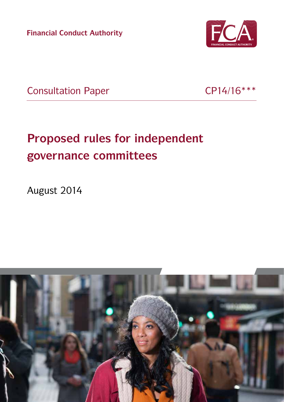**Financial Conduct Authority**



Consultation Paper CP14/16 \*\*\*

# **Proposed rules for independent governance committees**

August 2014

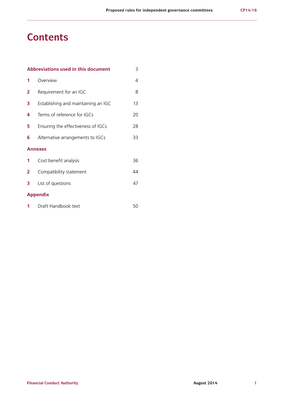## **Contents**

| Abbreviations used in this document<br>3 |                                     |    |
|------------------------------------------|-------------------------------------|----|
| 1                                        | Overview                            | 4  |
| 2                                        | Requirement for an IGC              | 8  |
| 3                                        | Establishing and maintaining an IGC | 13 |
| 4                                        | Terms of reference for IGCs         | 20 |
| 5                                        | Ensuring the effectiveness of IGCs  | 28 |
| 6                                        | Alternative arrangements to IGCs    | 33 |
|                                          | <b>Annexes</b>                      |    |
| 1                                        | Cost benefit analysis               | 36 |
| 2                                        | Compatibility statement             | 44 |
| 3                                        | List of questions                   | 47 |
|                                          | <b>Appendix</b>                     |    |
| 1                                        | Draft Handbook text                 | 50 |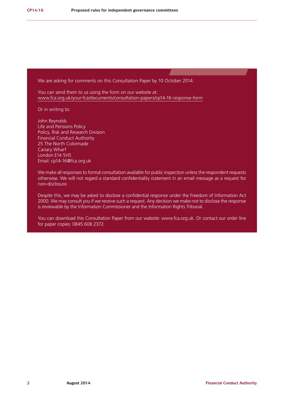We are asking for comments on this Consultation Paper by 10 October 2014.

You can send them to us using the form on our website at: [www.fca.org.uk/your-fca/documents/consultation-papers/cp14-16-response-form](http://www.fca.org.uk/your-fca/documents/consultation-papers/cp14-16-response-form)

Or in writing to:

John Reynolds Life and Pensions Policy Policy, Risk and Research Division Financial Conduct Authority 25 The North Colonnade Canary Wharf London E14 5HS Email: [cp14-16@fca.org.uk](mailto:cp14-16%40fca.org.uk?subject=)

We make all responses to formal consultation available for public inspection unless the respondent requests otherwise. We will not regard a standard confidentiality statement in an email message as a request for non-disclosure.

Despite this, we may be asked to disclose a confidential response under the Freedom of Information Act 2000. We may consult you if we receive such a request. Any decision we make not to disclose the response is reviewable by the Information Commissioner and the Information Rights Tribunal.

You can download this Consultation Paper from our website: [www.fca.org.uk.](http://www.fca.org.uk) Or contact our order line for paper copies: 0845 608 2372.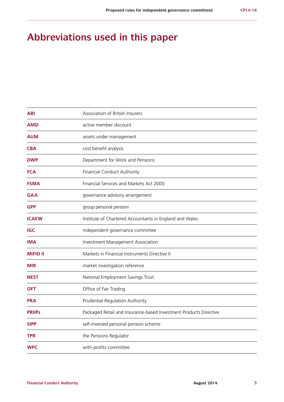## **Abbreviations used in this paper**

| <b>ABI</b>      | Association of British Insurers                                   |
|-----------------|-------------------------------------------------------------------|
| <b>AMD</b>      | active member discount                                            |
| <b>AUM</b>      | assets under management                                           |
| <b>CBA</b>      | cost benefit analysis                                             |
| <b>DWP</b>      | Department for Work and Pensions                                  |
| <b>FCA</b>      | Financial Conduct Authority                                       |
| <b>FSMA</b>     | Financial Services and Markets Act 2000                           |
| <b>GAA</b>      | governance advisory arrangement                                   |
| <b>GPP</b>      | group personal pension                                            |
| <b>ICAEW</b>    | Institute of Chartered Accountants in England and Wales           |
| <b>IGC</b>      | independent governance committee                                  |
| <b>IMA</b>      | Investment Management Association                                 |
| <b>MiFID II</b> | Markets in Financial Instruments Directive II                     |
| <b>MIR</b>      | market investigation reference                                    |
| <b>NEST</b>     | National Employment Savings Trust                                 |
| <b>OFT</b>      | Office of Fair Trading                                            |
| <b>PRA</b>      | Prudential Regulation Authority                                   |
| <b>PRIIPS</b>   | Packaged Retail and Insurance-based Investment Products Directive |
| <b>SIPP</b>     | self-invested personal pension scheme                             |
| <b>TPR</b>      | the Pensions Regulator                                            |
| <b>WPC</b>      | with-profits committee                                            |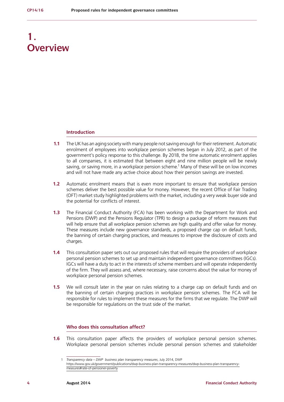## **1. Overview**

#### **Introduction**

- **1.1** The UK has an aging society with many people not saving enough for their retirement. Automatic enrolment of employees into workplace pension schemes began in July 2012, as part of the government's policy response to this challenge. By 2018, the time automatic enrolment applies to all companies, it is estimated that between eight and nine million people will be newly saving, or saving more, in a workplace pension scheme.<sup>1</sup> Many of these will be on low incomes and will not have made any active choice about how their pension savings are invested.
- **1.2** Automatic enrolment means that is even more important to ensure that workplace pension schemes deliver the best possible value for money. However, the recent Office of Fair Trading (OFT) market study highlighted problems with the market, including a very weak buyer side and the potential for conflicts of interest.
- **1.3** The Financial Conduct Authority (FCA) has been working with the Department for Work and Pensions (DWP) and the Pensions Regulator (TPR) to design a package of reform measures that will help ensure that all workplace pension schemes are high quality and offer value for money. These measures include new governance standards, a proposed charge cap on default funds, the banning of certain charging practices, and measures to improve the disclosure of costs and charges.
- **1.4** This consultation paper sets out our proposed rules that will require the providers of workplace personal pension schemes to set up and maintain independent governance committees (IGCs). IGCs will have a duty to act in the interests of scheme members and will operate independently of the firm. They will assess and, where necessary, raise concerns about the value for money of workplace personal pension schemes.
- **1.5** We will consult later in the year on rules relating to a charge cap on default funds and on the banning of certain charging practices in workplace pension schemes. The FCA will be responsible for rules to implement these measures for the firms that we regulate. The DWP will be responsible for regulations on the trust side of the market.

## **Who does this consultation affect?**

**1.6** This consultation paper affects the providers of workplace personal pension schemes. Workplace personal pension schemes include personal pension schemes and stakeholder

<sup>1</sup> *Transparency data – DWP business plan transparency measures*, July 2014, DWP [https://www.gov.uk/government/publications/dwp-business-plan-transparency-measures/dwp-business-plan-transparency](https://www.gov.uk/government/publications/dwp-business-plan-transparency-measures/dwp-business-plan-transparency-measures#rate-of-pensioner-poverty)[measures#rate-of-pensioner-poverty](https://www.gov.uk/government/publications/dwp-business-plan-transparency-measures/dwp-business-plan-transparency-measures#rate-of-pensioner-poverty)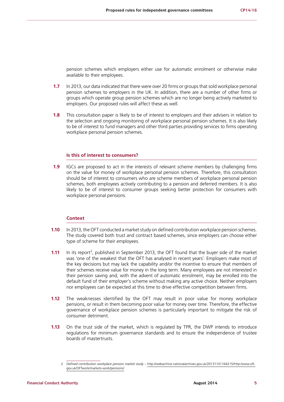pension schemes which employers either use for automatic enrolment or otherwise make available to their employees.

- **1.7** In 2013, our data indicated that there were over 20 firms or groups that sold workplace personal pension schemes to employers in the UK. In addition, there are a number of other firms or groups which operate group pension schemes which are no longer being actively marketed to employers. Our proposed rules will affect these as well.
- **1.8** This consultation paper is likely to be of interest to employers and their advisers in relation to the selection and ongoing monitoring of workplace personal pension schemes. It is also likely to be of interest to fund managers and other third parties providing services to firms operating workplace personal pension schemes.

#### **Is this of interest to consumers?**

**1.9** IGCs are proposed to act in the interests of relevant scheme members by challenging firms on the value for money of workplace personal pension schemes. Therefore, this consultation should be of interest to consumers who are scheme members of workplace personal pension schemes, both employees actively contributing to a pension and deferred members. It is also likely to be of interest to consumer groups seeking better protection for consumers with workplace personal pensions.

#### **Context**

- **1.10** In 2013, the OFT conducted a market study on defined contribution workplace pension schemes. The study covered both trust and contract based schemes, since employers can choose either type of scheme for their employees.
- **1.11** In its report<sup>2</sup>, published in September 2013, the OFT found that the buyer side of the market was 'one of the weakest that the OFT has analysed in recent years'. Employers make most of the key decisions but may lack the capability and/or the incentive to ensure that members of their schemes receive value for money in the long term. Many employees are not interested in their pension saving and, with the advent of automatic enrolment, may be enrolled into the default fund of their employer's scheme without making any active choice. Neither employers nor employees can be expected at this time to drive effective competition between firms.
- **1.12** The weaknesses identified by the OFT may result in poor value for money workplace pensions, or result in them becoming poor value for money over time. Therefore, the effective governance of workplace pension schemes is particularly important to mitigate the risk of consumer detriment.
- **1.13** On the trust side of the market, which is regulated by TPR, the DWP intends to introduce regulations for minimum governance standards and to ensure the independence of trustee boards of mastertrusts.

<sup>2</sup> *Defined contribution workplace pension market study* – [http://webarchive.nationalarchives.gov.uk/20131101164215/http:/www.oft.](http://webarchive.nationalarchives.gov.uk/20131101164215/http:/www.oft.gov.uk/OFTwork/markets-work/pensions/) [gov.uk/OFTwork/markets-work/pensions/](http://webarchive.nationalarchives.gov.uk/20131101164215/http:/www.oft.gov.uk/OFTwork/markets-work/pensions/)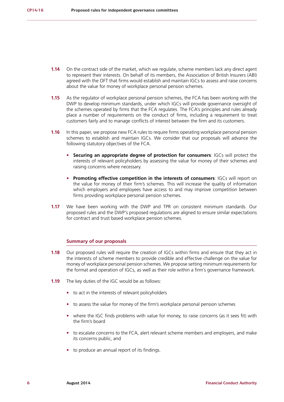- **1.14** On the contract side of the market, which we regulate, scheme members lack any direct agent to represent their interests. On behalf of its members, the Association of British Insurers (ABI) agreed with the OFT that firms would establish and maintain IGCs to assess and raise concerns about the value for money of workplace personal pension schemes.
- **1.15** As the regulator of workplace personal pension schemes, the FCA has been working with the DWP to develop minimum standards, under which IGCs will provide governance oversight of the schemes operated by firms that the FCA regulates. The FCA's principles and rules already place a number of requirements on the conduct of firms, including a requirement to treat customers fairly and to manage conflicts of interest between the firm and its customers.
- **1.16** In this paper, we propose new FCA rules to require firms operating workplace personal pension schemes to establish and maintain IGCs. We consider that our proposals will advance the following statutory objectives of the FCA.
	- **• Securing an appropriate degree of protection for consumers**: IGCs will protect the interests of relevant policyholders by assessing the value for money of their schemes and raising concerns where necessary.
	- **• Promoting effective competition in the interests of consumers**: IGCs will report on the value for money of their firm's schemes. This will increase the quality of information which employers and employees have access to and may improve competition between firms providing workplace personal pension schemes.
- **1.17** We have been working with the DWP and TPR on consistent minimum standards. Our proposed rules and the DWP's proposed regulations are aligned to ensure similar expectations for contract and trust based workplace pension schemes.

#### **Summary of our proposals**

- **1.18** Our proposed rules will require the creation of IGCs within firms and ensure that they act in the interests of scheme members to provide credible and effective challenge on the value for money of workplace personal pension schemes. We propose setting minimum requirements for the format and operation of IGCs, as well as their role within a firm's governance framework.
- **1.19** The key duties of the IGC would be as follows:
	- **•** to act in the interests of relevant policyholders
	- **•** to assess the value for money of the firm's workplace personal pension schemes
	- **•** where the IGC finds problems with value for money, to raise concerns (as it sees fit) with the firm's board
	- **•** to escalate concerns to the FCA, alert relevant scheme members and employers, and make its concerns public, and
	- **•** to produce an annual report of its findings.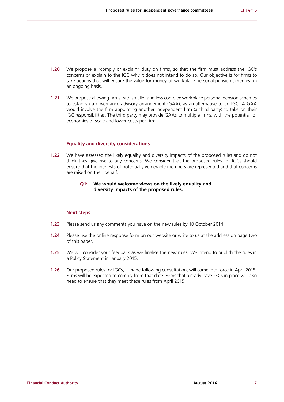- **1.20** We propose a "comply or explain" duty on firms, so that the firm must address the IGC's concerns or explain to the IGC why it does not intend to do so. Our objective is for firms to take actions that will ensure the value for money of workplace personal pension schemes on an ongoing basis.
- **1.21** We propose allowing firms with smaller and less complex workplace personal pension schemes to establish a governance advisory arrangement (GAA), as an alternative to an IGC. A GAA would involve the firm appointing another independent firm (a third party) to take on their IGC responsibilities. The third party may provide GAAs to multiple firms, with the potential for economies of scale and lower costs per firm.

## **Equality and diversity considerations**

**1.22** We have assessed the likely equality and diversity impacts of the proposed rules and do not think they give rise to any concerns. We consider that the proposed rules for IGCs should ensure that the interests of potentially vulnerable members are represented and that concerns are raised on their behalf.

## **Q1: We would welcome views on the likely equality and diversity impacts of the proposed rules.**

#### **Next steps**

- **1.23** Please send us any comments you have on the new rules by 10 October 2014.
- **1.24** Please use the online response form on our website or write to us at the address on page two of this paper.
- **1.25** We will consider your feedback as we finalise the new rules. We intend to publish the rules in a Policy Statement in January 2015.
- **1.26** Our proposed rules for IGCs, if made following consultation, will come into force in April 2015. Firms will be expected to comply from that date. Firms that already have IGCs in place will also need to ensure that they meet these rules from April 2015.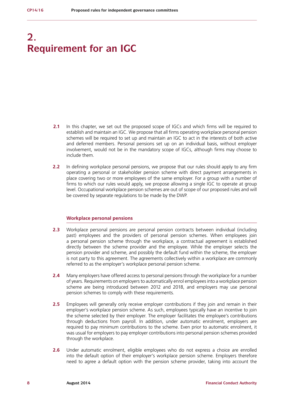## **2. Requirement for an IGC**

- **2.1** In this chapter, we set out the proposed scope of IGCs and which firms will be required to establish and maintain an IGC. We propose that all firms operating workplace personal pension schemes will be required to set up and maintain an IGC to act in the interests of both active and deferred members. Personal pensions set up on an individual basis, without employer involvement, would not be in the mandatory scope of IGCs, although firms may choose to include them.
- **2.2** In defining workplace personal pensions, we propose that our rules should apply to any firm operating a personal or stakeholder pension scheme with direct payment arrangements in place covering two or more employees of the same employer. For a group with a number of firms to which our rules would apply, we propose allowing a single IGC to operate at group level. Occupational workplace pension schemes are out of scope of our proposed rules and will be covered by separate regulations to be made by the DWP.

#### **Workplace personal pensions**

- **2.3** Workplace personal pensions are personal pension contracts between individual (including past) employees and the providers of personal pension schemes. When employees join a personal pension scheme through the workplace, a contractual agreement is established directly between the scheme provider and the employee. While the employer selects the pension provider and scheme, and possibly the default fund within the scheme, the employer is not party to this agreement. The agreements collectively within a workplace are commonly referred to as the employer's workplace personal pension scheme.
- **2.4** Many employers have offered access to personal pensions through the workplace for a number of years. Requirements on employers to automatically enrol employees into a workplace pension scheme are being introduced between 2012 and 2018, and employers may use personal pension schemes to comply with these requirements.
- **2.5** Employees will generally only receive employer contributions if they join and remain in their employer's workplace pension scheme. As such, employees typically have an incentive to join the scheme selected by their employer. The employer facilitates the employee's contributions through deductions from payroll. In addition, under automatic enrolment, employers are required to pay minimum contributions to the scheme. Even prior to automatic enrolment, it was usual for employers to pay employer contributions into personal pension schemes provided through the workplace.
- **2.6** Under automatic enrolment, eligible employees who do not express a choice are enrolled into the default option of their employer's workplace pension scheme. Employers therefore need to agree a default option with the pension scheme provider, taking into account the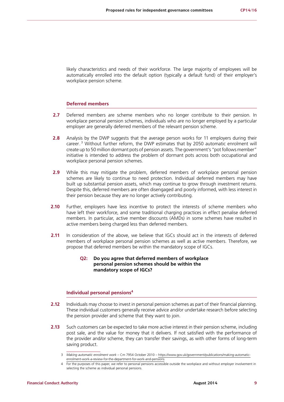likely characteristics and needs of their workforce. The large majority of employees will be automatically enrolled into the default option (typically a default fund) of their employer's workplace pension scheme.

#### **Deferred members**

- **2.7** Deferred members are scheme members who no longer contribute to their pension. In workplace personal pension schemes, individuals who are no longer employed by a particular employer are generally deferred members of the relevant pension scheme.
- **2.8** Analysis by the DWP suggests that the average person works for 11 employers during their career.<sup>3</sup> Without further reform, the DWP estimates that by 2050 automatic enrolment will create up to 50 million dormant pots of pension assets. The government's "pot follows member" initiative is intended to address the problem of dormant pots across both occupational and workplace personal pension schemes.
- **2.9** While this may mitigate the problem, deferred members of workplace personal pension schemes are likely to continue to need protection. Individual deferred members may have built up substantial pension assets, which may continue to grow through investment returns. Despite this, deferred members are often disengaged and poorly informed, with less interest in their pension because they are no longer actively contributing.
- **2.10** Further, employers have less incentive to protect the interests of scheme members who have left their workforce, and some traditional charging practices in effect penalise deferred members. In particular, active member discounts (AMDs) in some schemes have resulted in active members being charged less than deferred members.
- **2.11** In consideration of the above, we believe that IGCs should act in the interests of deferred members of workplace personal pension schemes as well as active members. Therefore, we propose that deferred members be within the mandatory scope of IGCs.

### **Q2: Do you agree that deferred members of workplace personal pension schemes should be within the mandatory scope of IGCs?**

#### **Individual personal pensions<sup>4</sup>**

- **2.12** Individuals may choose to invest in personal pension schemes as part of their financial planning. These individual customers generally receive advice and/or undertake research before selecting the pension provider and scheme that they want to join.
- **2.13** Such customers can be expected to take more active interest in their pension scheme, including post sale, and the value for money that it delivers. If not satisfied with the performance of the provider and/or scheme, they can transfer their savings, as with other forms of long-term saving product.

<sup>3</sup> *Making automatic enrolment work* – Cm 7954 October 2010 – [https://www.gov.uk/government/publications/making-automatic](https://www.gov.uk/government/publications/making-automatic-enrolment-work-a-review-for-the-department-for-work-and-pensions)[enrolment-work-a-review-for-the-department-for-work-and-pensions](https://www.gov.uk/government/publications/making-automatic-enrolment-work-a-review-for-the-department-for-work-and-pensions)

<sup>4</sup> For the purposes of this paper, we refer to personal pensions accessible outside the workplace and without employer involvement in selecting the scheme as individual personal pensions.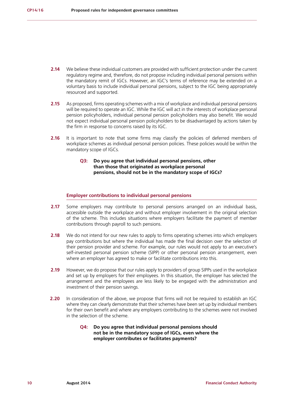- **2.14** We believe these individual customers are provided with sufficient protection under the current regulatory regime and, therefore, do not propose including individual personal pensions within the mandatory remit of IGCs. However, an IGC's terms of reference may be extended on a voluntary basis to include individual personal pensions, subject to the IGC being appropriately resourced and supported.
- **2.15** As proposed, firms operating schemes with a mix of workplace and individual personal pensions will be required to operate an IGC. While the IGC will act in the interests of workplace personal pension policyholders, individual personal pension policyholders may also benefit. We would not expect individual personal pension policyholders to be disadvantaged by actions taken by the firm in response to concerns raised by its IGC.
- **2.16** It is important to note that some firms may classify the policies of deferred members of workplace schemes as individual personal pension policies. These policies would be within the mandatory scope of IGCs.
	- **Q3: Do you agree that individual personal pensions, other than those that originated as workplace personal pensions, should not be in the mandatory scope of IGCs?**

#### **Employer contributions to individual personal pensions**

- **2.17** Some employers may contribute to personal pensions arranged on an individual basis, accessible outside the workplace and without employer involvement in the original selection of the scheme. This includes situations where employers facilitate the payment of member contributions through payroll to such pensions.
- **2.18** We do not intend for our new rules to apply to firms operating schemes into which employers pay contributions but where the individual has made the final decision over the selection of their pension provider and scheme. For example, our rules would not apply to an executive's self-invested personal pension scheme (SIPP) or other personal pension arrangement, even where an employer has agreed to make or facilitate contributions into this.
- **2.19** However, we do propose that our rules apply to providers of group SIPPs used in the workplace and set up by employers for their employees. In this situation, the employer has selected the arrangement and the employees are less likely to be engaged with the administration and investment of their pension savings.
- **2.20** In consideration of the above, we propose that firms will not be required to establish an IGC where they can clearly demonstrate that their schemes have been set up by individual members for their own benefit and where any employers contributing to the schemes were not involved in the selection of the scheme.
	- **Q4: Do you agree that individual personal pensions should not be in the mandatory scope of IGCs, even where the employer contributes or facilitates payments?**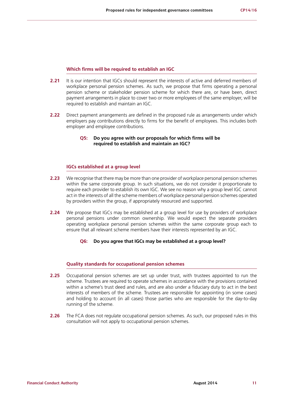#### **Which firms will be required to establish an IGC**

- **2.21** It is our intention that IGCs should represent the interests of active and deferred members of workplace personal pension schemes. As such, we propose that firms operating a personal pension scheme or stakeholder pension scheme for which there are, or have been, direct payment arrangements in place to cover two or more employees of the same employer, will be required to establish and maintain an IGC.
- **2.22** Direct payment arrangements are defined in the proposed rule as arrangements under which employers pay contributions directly to firms for the benefit of employees. This includes both employer and employee contributions.

### **Q5: Do you agree with our proposals for which firms will be required to establish and maintain an IGC?**

### **IGCs established at a group level**

- **2.23** We recognise that there may be more than one provider of workplace personal pension schemes within the same corporate group. In such situations, we do not consider it proportionate to require each provider to establish its own IGC. We see no reason why a group level IGC cannot act in the interests of all the scheme members of workplace personal pension schemes operated by providers within the group, if appropriately resourced and supported.
- **2.24** We propose that IGCs may be established at a group level for use by providers of workplace personal pensions under common ownership. We would expect the separate providers operating workplace personal pension schemes within the same corporate group each to ensure that all relevant scheme members have their interests represented by an IGC.

#### **Q6: Do you agree that IGCs may be established at a group level?**

#### **Quality standards for occupational pension schemes**

- **2.25** Occupational pension schemes are set up under trust, with trustees appointed to run the scheme. Trustees are required to operate schemes in accordance with the provisions contained within a scheme's trust deed and rules, and are also under a fiduciary duty to act in the best interests of members of the scheme. Trustees are responsible for appointing (in some cases) and holding to account (in all cases) those parties who are responsible for the day-to-day running of the scheme.
- **2.26** The FCA does not regulate occupational pension schemes. As such, our proposed rules in this consultation will not apply to occupational pension schemes.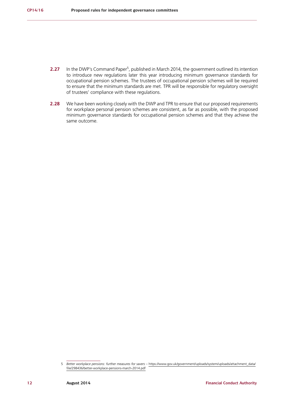- **2.27** In the DWP's Command Paper<sup>5</sup>, published in March 2014, the government outlined its intention to introduce new regulations later this year introducing minimum governance standards for occupational pension schemes. The trustees of occupational pension schemes will be required to ensure that the minimum standards are met. TPR will be responsible for regulatory oversight of trustees' compliance with these regulations.
- **2.28** We have been working closely with the DWP and TPR to ensure that our proposed requirements for workplace personal pension schemes are consistent, as far as possible, with the proposed minimum governance standards for occupational pension schemes and that they achieve the same outcome.

<sup>5</sup> *Better workplace pensions: further measures for savers* – [https://www.gov.uk/government/uploads/system/uploads/attachment\\_data/](https://www.gov.uk/government/uploads/system/uploads/attachment_data/file/298436/better-workplace-pensions-march-2014.pdf) [file/298436/better-workplace-pensions-march-2014.pdf](https://www.gov.uk/government/uploads/system/uploads/attachment_data/file/298436/better-workplace-pensions-march-2014.pdf)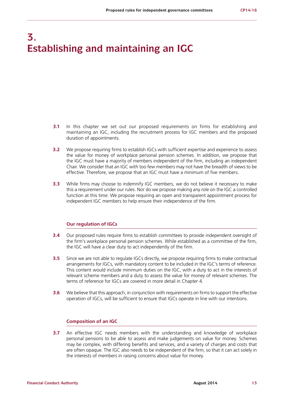## **3. Establishing and maintaining an IGC**

- **3.1** In this chapter we set out our proposed requirements on firms for establishing and maintaining an IGC, including the recruitment process for IGC members and the proposed duration of appointments.
- **3.2** We propose requiring firms to establish IGCs with sufficient expertise and experience to assess the value for money of workplace personal pension schemes. In addition, we propose that the IGC must have a majority of members independent of the firm, including an independent Chair. We consider that an IGC with too few members may not have the breadth of views to be effective. Therefore, we propose that an IGC must have a minimum of five members.
- **3.3** While firms may choose to indemnify IGC members, we do not believe it necessary to make this a requirement under our rules. Nor do we propose making any role on the IGC a controlled function at this time. We propose requiring an open and transparent appointment process for independent IGC members to help ensure their independence of the firm.

#### **Our regulation of IGCs**

- **3.4** Our proposed rules require firms to establish committees to provide independent oversight of the firm's workplace personal pension schemes. While established as a committee of the firm, the IGC will have a clear duty to act independently of the firm.
- **3.5** Since we are not able to regulate IGCs directly, we propose requiring firms to make contractual arrangements for IGCs, with mandatory content to be included in the IGC's terms of reference. This content would include minimum duties on the IGC, with a duty to act in the interests of relevant scheme members and a duty to assess the value for money of relevant schemes. The terms of reference for IGCs are covered in more detail in Chapter 4.
- **3.6** We believe that this approach, in conjunction with requirements on firms to support the effective operation of IGCs, will be sufficient to ensure that IGCs operate in line with our intentions.

#### **Composition of an IGC**

**3.7** An effective IGC needs members with the understanding and knowledge of workplace personal pensions to be able to assess and make judgements on value for money. Schemes may be complex, with differing benefits and services, and a variety of charges and costs that are often opaque. The IGC also needs to be independent of the firm, so that it can act solely in the interests of members in raising concerns about value for money.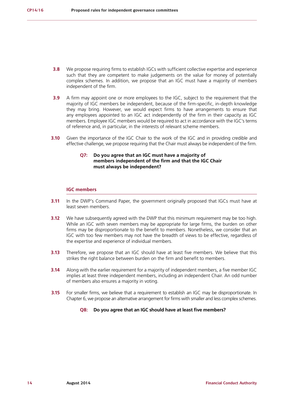- **3.8** We propose requiring firms to establish IGCs with sufficient collective expertise and experience such that they are competent to make judgements on the value for money of potentially complex schemes. In addition, we propose that an IGC must have a majority of members independent of the firm.
- **3.9** A firm may appoint one or more employees to the IGC, subject to the requirement that the majority of IGC members be independent, because of the firm-specific, in-depth knowledge they may bring. However, we would expect firms to have arrangements to ensure that any employees appointed to an IGC act independently of the firm in their capacity as IGC members. Employee IGC members would be required to act in accordance with the IGC's terms of reference and, in particular, in the interests of relevant scheme members.
- **3.10** Given the importance of the IGC Chair to the work of the IGC and in providing credible and effective challenge, we propose requiring that the Chair must always be independent of the firm.

### **Q7: Do you agree that an IGC must have a majority of members independent of the firm and that the IGC Chair must always be independent?**

#### **IGC members**

- **3.11** In the DWP's Command Paper, the government originally proposed that IGCs must have at least seven members.
- **3.12** We have subsequently agreed with the DWP that this minimum requirement may be too high. While an IGC with seven members may be appropriate for large firms, the burden on other firms may be disproportionate to the benefit to members. Nonetheless, we consider that an IGC with too few members may not have the breadth of views to be effective, regardless of the expertise and experience of individual members.
- **3.13** Therefore, we propose that an IGC should have at least five members. We believe that this strikes the right balance between burden on the firm and benefit to members.
- **3.14** Along with the earlier requirement for a majority of independent members, a five member IGC implies at least three independent members, including an independent Chair. An odd number of members also ensures a majority in voting.
- **3.15** For smaller firms, we believe that a requirement to establish an IGC may be disproportionate. In Chapter 6, we propose an alternative arrangement for firms with smaller and less complex schemes.

#### **Q8: Do you agree that an IGC should have at least five members?**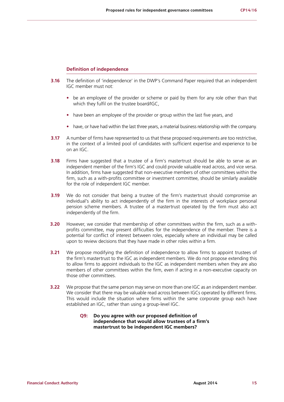#### **Definition of independence**

- **3.16** The definition of 'independence' in the DWP's Command Paper required that an independent IGC member must not:
	- **•** be an employee of the provider or scheme or paid by them for any role other than that which they fulfil on the trustee board/IGC,
	- **•** have been an employee of the provider or group within the last five years, and
	- **•** have, or have had within the last three years, a material business relationship with the company.
- **3.17** A number of firms have represented to us that these proposed requirements are too restrictive. in the context of a limited pool of candidates with sufficient expertise and experience to be on an IGC.
- **3.18** Firms have suggested that a trustee of a firm's mastertrust should be able to serve as an independent member of the firm's IGC and could provide valuable read across, and vice versa. In addition, firms have suggested that non-executive members of other committees within the firm, such as a with-profits committee or investment committee, should be similarly available for the role of independent IGC member.
- **3.19** We do not consider that being a trustee of the firm's mastertrust should compromise an individual's ability to act independently of the firm in the interests of workplace personal pension scheme members. A trustee of a mastertrust operated by the firm must also act independently of the firm.
- **3.20** However, we consider that membership of other committees within the firm, such as a withprofits committee, may present difficulties for the independence of the member. There is a potential for conflict of interest between roles, especially where an individual may be called upon to review decisions that they have made in other roles within a firm.
- **3.21** We propose modifying the definition of independence to allow firms to appoint trustees of the firm's mastertrust to the IGC as independent members. We do not propose extending this to allow firms to appoint individuals to the IGC as independent members when they are also members of other committees within the firm, even if acting in a non-executive capacity on those other committees.
- **3.22** We propose that the same person may serve on more than one IGC as an independent member. We consider that there may be valuable read across between IGCs operated by different firms. This would include the situation where firms within the same corporate group each have established an IGC, rather than using a group-level IGC.

## **Q9: Do you agree with our proposed definition of independence that would allow trustees of a firm's mastertrust to be independent IGC members?**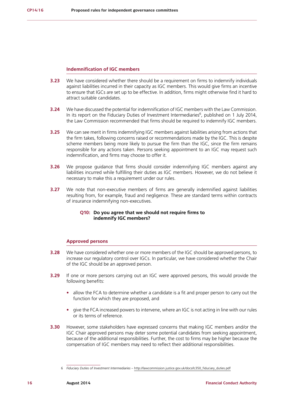#### **Indemnification of IGC members**

- **3.23** We have considered whether there should be a requirement on firms to indemnify individuals against liabilities incurred in their capacity as IGC members. This would give firms an incentive to ensure that IGCs are set up to be effective. In addition, firms might otherwise find it hard to attract suitable candidates.
- **3.24** We have discussed the potential for indemnification of IGC members with the Law Commission. In its report on the Fiduciary Duties of Investment Intermediaries<sup>6</sup>, published on 1 July 2014, the Law Commission recommended that firms should be required to indemnify IGC members.
- **3.25** We can see merit in firms indemnifying IGC members against liabilities arising from actions that the firm takes, following concerns raised or recommendations made by the IGC. This is despite scheme members being more likely to pursue the firm than the IGC, since the firm remains responsible for any actions taken. Persons seeking appointment to an IGC may request such indemnification, and firms may choose to offer it.
- **3.26** We propose guidance that firms should consider indemnifying IGC members against any liabilities incurred while fulfilling their duties as IGC members. However, we do not believe it necessary to make this a requirement under our rules.
- **3.27** We note that non-executive members of firms are generally indemnified against liabilities resulting from, for example, fraud and negligence. These are standard terms within contracts of insurance indemnifying non-executives.

### **Q10: Do you agree that we should not require firms to indemnify IGC members?**

#### **Approved persons**

- **3.28** We have considered whether one or more members of the IGC should be approved persons, to increase our regulatory control over IGCs. In particular, we have considered whether the Chair of the IGC should be an approved person.
- **3.29** If one or more persons carrying out an IGC were approved persons, this would provide the following benefits:
	- **•** allow the FCA to determine whether a candidate is a fit and proper person to carry out the function for which they are proposed, and
	- **•** give the FCA increased powers to intervene, where an IGC is not acting in line with our rules or its terms of reference.
- **3.30** However, some stakeholders have expressed concerns that making IGC members and/or the IGC Chair approved persons may deter some potential candidates from seeking appointment, because of the additional responsibilities. Further, the cost to firms may be higher because the compensation of IGC members may need to reflect their additional responsibilities.

<sup>6</sup> *Fiduciary Duties of Investment Intermediaries* – [http://lawcommission.justice.gov.uk/docs/lc350\\_fiduciary\\_duties.pdf](http://lawcommission.justice.gov.uk/docs/lc350_fiduciary_duties.pdf)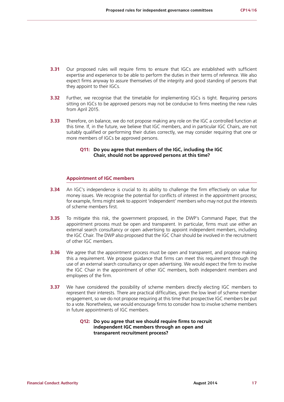- **3.31** Our proposed rules will require firms to ensure that IGCs are established with sufficient expertise and experience to be able to perform the duties in their terms of reference. We also expect firms anyway to assure themselves of the integrity and good standing of persons that they appoint to their IGCs.
- **3.32** Further, we recognise that the timetable for implementing IGCs is tight. Requiring persons sitting on IGCs to be approved persons may not be conducive to firms meeting the new rules from April 2015.
- **3.33** Therefore, on balance, we do not propose making any role on the IGC a controlled function at this time. If, in the future, we believe that IGC members, and in particular IGC Chairs, are not suitably qualified or performing their duties correctly, we may consider requiring that one or more members of IGCs be approved persons.

## **Q11: Do you agree that members of the IGC, including the IGC Chair, should not be approved persons at this time?**

## **Appointment of IGC members**

- **3.34** An IGC's independence is crucial to its ability to challenge the firm effectively on value for money issues. We recognise the potential for conflicts of interest in the appointment process; for example, firms might seek to appoint 'independent' members who may not put the interests of scheme members first.
- **3.35** To mitigate this risk, the government proposed, in the DWP's Command Paper, that the appointment process must be open and transparent. In particular, firms must use either an external search consultancy or open advertising to appoint independent members, including the IGC Chair. The DWP also proposed that the IGC Chair should be involved in the recruitment of other IGC members.
- **3.36** We agree that the appointment process must be open and transparent, and propose making this a requirement. We propose guidance that firms can meet this requirement through the use of an external search consultancy or open advertising. We would expect the firm to involve the IGC Chair in the appointment of other IGC members, both independent members and employees of the firm.
- **3.37** We have considered the possibility of scheme members directly electing IGC members to represent their interests. There are practical difficulties, given the low level of scheme member engagement, so we do not propose requiring at this time that prospective IGC members be put to a vote. Nonetheless, we would encourage firms to consider how to involve scheme members in future appointments of IGC members.

## **Q12: Do you agree that we should require firms to recruit independent IGC members through an open and transparent recruitment process?**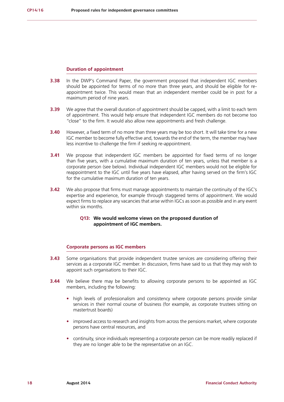#### **Duration of appointment**

- **3.38** In the DWP's Command Paper, the government proposed that independent IGC members should be appointed for terms of no more than three years, and should be eligible for reappointment twice. This would mean that an independent member could be in post for a maximum period of nine years.
- **3.39** We agree that the overall duration of appointment should be capped, with a limit to each term of appointment. This would help ensure that independent IGC members do not become too "close" to the firm. It would also allow new appointments and fresh challenge.
- **3.40** However, a fixed term of no more than three years may be too short. It will take time for a new IGC member to become fully effective and, towards the end of the term, the member may have less incentive to challenge the firm if seeking re-appointment.
- **3.41** We propose that independent IGC members be appointed for fixed terms of no longer than five years, with a cumulative maximum duration of ten years, unless that member is a corporate person (see below). Individual independent IGC members would not be eligible for reappointment to the IGC until five years have elapsed, after having served on the firm's IGC for the cumulative maximum duration of ten years.
- **3.42** We also propose that firms must manage appointments to maintain the continuity of the IGC's expertise and experience, for example through staggered terms of appointment. We would expect firms to replace any vacancies that arise within IGCs as soon as possible and in any event within six months.

## **Q13: We would welcome views on the proposed duration of appointment of IGC members.**

#### **Corporate persons as IGC members**

- **3.43** Some organisations that provide independent trustee services are considering offering their services as a corporate IGC member. In discussion, firms have said to us that they may wish to appoint such organisations to their IGC.
- **3.44** We believe there may be benefits to allowing corporate persons to be appointed as IGC members, including the following:
	- **•** high levels of professionalism and consistency where corporate persons provide similar services in their normal course of business (for example, as corporate trustees sitting on mastertrust boards)
	- **•** improved access to research and insights from across the pensions market, where corporate persons have central resources, and
	- continuity, since individuals representing a corporate person can be more readily replaced if they are no longer able to be the representative on an IGC.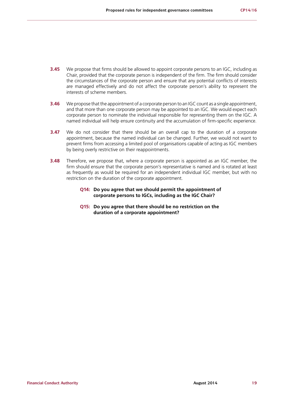- **3.45** We propose that firms should be allowed to appoint corporate persons to an IGC, including as Chair, provided that the corporate person is independent of the firm. The firm should consider the circumstances of the corporate person and ensure that any potential conflicts of interests are managed effectively and do not affect the corporate person's ability to represent the interests of scheme members.
- **3.46** We propose that the appointment of a corporate person to an IGC count as a single appointment, and that more than one corporate person may be appointed to an IGC. We would expect each corporate person to nominate the individual responsible for representing them on the IGC. A named individual will help ensure continuity and the accumulation of firm-specific experience.
- **3.47** We do not consider that there should be an overall cap to the duration of a corporate appointment, because the named individual can be changed. Further, we would not want to prevent firms from accessing a limited pool of organisations capable of acting as IGC members by being overly restrictive on their reappointments.
- **3.48** Therefore, we propose that, where a corporate person is appointed as an IGC member, the firm should ensure that the corporate person's representative is named and is rotated at least as frequently as would be required for an independent individual IGC member, but with no restriction on the duration of the corporate appointment.
	- **Q14: Do you agree that we should permit the appointment of corporate persons to IGCs, including as the IGC Chair?**
	- **Q15: Do you agree that there should be no restriction on the duration of a corporate appointment?**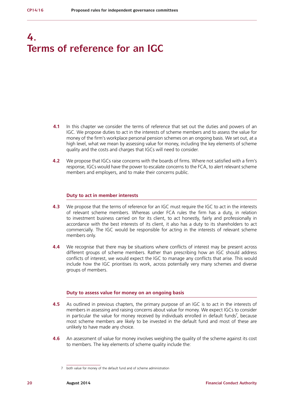## **4. Terms of reference for an IGC**

- **4.1** In this chapter we consider the terms of reference that set out the duties and powers of an IGC. We propose duties to act in the interests of scheme members and to assess the value for money of the firm's workplace personal pension schemes on an ongoing basis. We set out, at a high level, what we mean by assessing value for money, including the key elements of scheme quality and the costs and charges that IGCs will need to consider.
- **4.2** We propose that IGCs raise concerns with the boards of firms. Where not satisfied with a firm's response, IGCs would have the power to escalate concerns to the FCA, to alert relevant scheme members and employers, and to make their concerns public.

#### **Duty to act in member interests**

- **4.3** We propose that the terms of reference for an IGC must require the IGC to act in the interests of relevant scheme members. Whereas under FCA rules the firm has a duty, in relation to investment business carried on for its client, to act honestly, fairly and professionally in accordance with the best interests of its client, it also has a duty to its shareholders to act commercially. The IGC would be responsible for acting in the interests of relevant scheme members only.
- **4.4** We recognise that there may be situations where conflicts of interest may be present across different groups of scheme members. Rather than prescribing how an IGC should address conflicts of interest, we would expect the IGC to manage any conflicts that arise. This would include how the IGC prioritises its work, across potentially very many schemes and diverse groups of members.

#### **Duty to assess value for money on an ongoing basis**

- **4.5** As outlined in previous chapters, the primary purpose of an IGC is to act in the interests of members in assessing and raising concerns about value for money. We expect IGCs to consider in particular the value for money received by individuals enrolled in default funds<sup>7</sup>, because most scheme members are likely to be invested in the default fund and most of these are unlikely to have made any choice.
- **4.6** An assessment of value for money involves weighing the quality of the scheme against its cost to members. The key elements of scheme quality include the:

<sup>7</sup> both value for money of the default fund and of scheme administration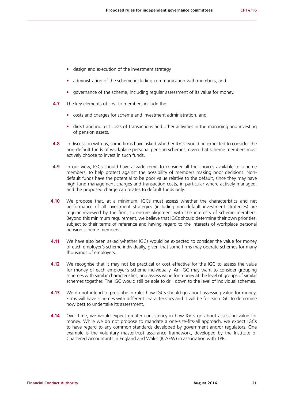- **•** design and execution of the investment strategy
- **•** administration of the scheme including communication with members, and
- **•** governance of the scheme, including regular assessment of its value for money.
- **4.7** The key elements of cost to members include the:
	- **•** costs and charges for scheme and investment administration, and
	- **•** direct and indirect costs of transactions and other activities in the managing and investing of pension assets.
- **4.8** In discussion with us, some firms have asked whether IGCs would be expected to consider the non-default funds of workplace personal pension schemes, given that scheme members must actively choose to invest in such funds.
- **4.9** In our view, IGCs should have a wide remit to consider all the choices available to scheme members, to help protect against the possibility of members making poor decisions. Nondefault funds have the potential to be poor value relative to the default, since they may have high fund management charges and transaction costs, in particular where actively managed, and the proposed charge cap relates to default funds only.
- **4.10** We propose that, at a minimum, IGCs must assess whether the characteristics and net performance of all investment strategies (including non-default investment strategies) are regular reviewed by the firm, to ensure alignment with the interests of scheme members. Beyond this minimum requirement, we believe that IGCs should determine their own priorities, subject to their terms of reference and having regard to the interests of workplace personal pension scheme members.
- **4.11** We have also been asked whether IGCs would be expected to consider the value for money of each employer's scheme individually, given that some firms may operate schemes for many thousands of employers.
- **4.12** We recognise that it may not be practical or cost effective for the IGC to assess the value for money of each employer's scheme individually. An IGC may want to consider grouping schemes with similar characteristics, and assess value for money at the level of groups of similar schemes together. The IGC would still be able to drill down to the level of individual schemes.
- **4.13** We do not intend to prescribe in rules how IGCs should go about assessing value for money. Firms will have schemes with different characteristics and it will be for each IGC to determine how best to undertake its assessment.
- **4.14** Over time, we would expect greater consistency in how IGCs go about assessing value for money. While we do not propose to mandate a one-size-fits-all approach, we expect IGCs to have regard to any common standards developed by government and/or regulators. One example is the voluntary mastertrust assurance framework, developed by the Institute of Chartered Accountants in England and Wales (ICAEW) in association with TPR.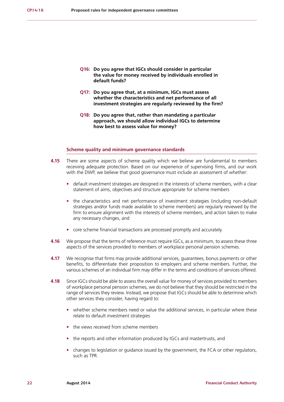- **Q16: Do you agree that IGCs should consider in particular the value for money received by individuals enrolled in default funds?**
- **Q17: Do you agree that, at a minimum, IGCs must assess whether the characteristics and net performance of all investment strategies are regularly reviewed by the firm?**
- **Q18: Do you agree that, rather than mandating a particular approach, we should allow individual IGCs to determine how best to assess value for money?**

#### **Scheme quality and minimum governance standards**

- **4.15** There are some aspects of scheme quality which we believe are fundamental to members receiving adequate protection. Based on our experience of supervising firms, and our work with the DWP, we believe that good governance must include an assessment of whether:
	- default investment strategies are designed in the interests of scheme members, with a clear statement of aims, objectives and structure appropriate for scheme members
	- the characteristics and net performance of investment strategies (including non-default strategies and/or funds made available to scheme members) are regularly reviewed by the firm to ensure alignment with the interests of scheme members, and action taken to make any necessary changes, and
	- **•** core scheme financial transactions are processed promptly and accurately.
- **4.16** We propose that the terms of reference must require IGCs, as a minimum, to assess these three aspects of the services provided to members of workplace personal pension schemes.
- **4.17** We recognise that firms may provide additional services, guarantees, bonus payments or other benefits, to differentiate their proposition to employers and scheme members. Further, the various schemes of an individual firm may differ in the terms and conditions of services offered.
- **4.18** Since IGCs should be able to assess the overall value for money of services provided to members of workplace personal pension schemes, we do not believe that they should be restricted in the range of services they review. Instead, we propose that IGCs should be able to determine which other services they consider, having regard to:
	- **•** whether scheme members need or value the additional services, in particular where these relate to default investment strategies
	- **•** the views received from scheme members
	- **•** the reports and other information produced by IGCs and mastertrusts, and
	- **•** changes to legislation or guidance issued by the government, the FCA or other regulators, such as TPR.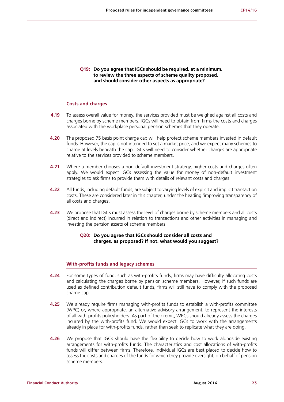**Q19: Do you agree that IGCs should be required, at a minimum, to review the three aspects of scheme quality proposed, and should consider other aspects as appropriate?**

#### **Costs and charges**

- **4.19** To assess overall value for money, the services provided must be weighed against all costs and charges borne by scheme members. IGCs will need to obtain from firms the costs and charges associated with the workplace personal pension schemes that they operate.
- **4.20** The proposed 75 basis point charge cap will help protect scheme members invested in default funds. However, the cap is not intended to set a market price, and we expect many schemes to charge at levels beneath the cap. IGCs will need to consider whether charges are appropriate relative to the services provided to scheme members.
- **4.21** Where a member chooses a non-default investment strategy, higher costs and charges often apply. We would expect IGCs assessing the value for money of non-default investment strategies to ask firms to provide them with details of relevant costs and charges.
- **4.22** All funds, including default funds, are subject to varying levels of explicit and implicit transaction costs. These are considered later in this chapter, under the heading 'improving transparency of all costs and charges'.
- **4.23** We propose that IGCs must assess the level of charges borne by scheme members and all costs (direct and indirect) incurred in relation to transactions and other activities in managing and investing the pension assets of scheme members.

## **Q20: Do you agree that IGCs should consider all costs and charges, as proposed? If not, what would you suggest?**

#### **With-profits funds and legacy schemes**

- **4.24** For some types of fund, such as with-profits funds, firms may have difficulty allocating costs and calculating the charges borne by pension scheme members. However, if such funds are used as defined contribution default funds, firms will still have to comply with the proposed charge cap.
- **4.25** We already require firms managing with-profits funds to establish a with-profits committee (WPC) or, where appropriate, an alternative advisory arrangement, to represent the interests of all with-profits policyholders. As part of their remit, WPCs should already assess the charges incurred by the with-profits fund. We would expect IGCs to work with the arrangements already in place for with-profits funds, rather than seek to replicate what they are doing.
- **4.26** We propose that IGCs should have the flexibility to decide how to work alongside existing arrangements for with-profits funds. The characteristics and cost allocations of with-profits funds will differ between firms. Therefore, individual IGCs are best placed to decide how to assess the costs and charges of the funds for which they provide oversight, on behalf of pension scheme members.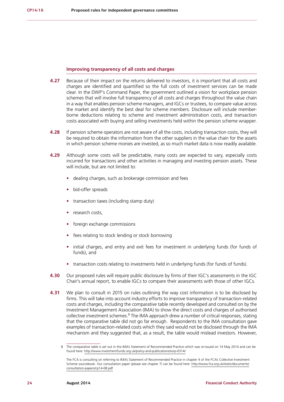#### **Improving transparency of all costs and charges**

- **4.27** Because of their impact on the returns delivered to investors, it is important that all costs and charges are identified and quantified so the full costs of investment services can be made clear. In the DWP's Command Paper, the government outlined a vision for workplace pension schemes that will involve full transparency of all costs and charges throughout the value chain in a way that enables pension scheme managers, and IGCs or trustees, to compare value across the market and identify the best deal for scheme members. Disclosure will include memberborne deductions relating to scheme and investment administration costs, and transaction costs associated with buying and selling investments held within the pension scheme wrapper.
- **4.28** If pension scheme operators are not aware of all the costs, including transaction costs, they will be required to obtain the information from the other suppliers in the value chain for the assets in which pension scheme monies are invested, as so much market data is now readily available.
- **4.29** Although some costs will be predictable, many costs are expected to vary, especially costs incurred for transactions and other activities in managing and investing pension assets. These will include, but are not limited to:
	- **•** dealing charges, such as brokerage commission and fees
	- **•** bid-offer spreads
	- **•** transaction taxes (including stamp duty)
	- **•** research costs,
	- **•** foreign exchange commissions
	- **•** fees relating to stock lending or stock borrowing
	- **•** initial charges, and entry and exit fees for investment in underlying funds (for funds of funds), and
	- **•** transaction costs relating to investments held in underlying funds (for funds of funds).
- **4.30** Our proposed rules will require public disclosure by firms of their IGC's assessments in the IGC Chair's annual report, to enable IGCs to compare their assessments with those of other IGCs.
- **4.31** We plan to consult in 2015 on rules outlining the way cost information is to be disclosed by firms. This will take into account industry efforts to improve transparency of transaction-related costs and charges, including the comparative table recently developed and consulted on by the Investment Management Association (IMA) to show the direct costs and charges of authorised collective investment schemes.<sup>8</sup> The IMA approach drew a number of critical responses, stating that the comparative table did not go far enough. Respondents to the IMA consultation gave examples of transaction-related costs which they said would not be disclosed through the IMA mechanism and they suggested that, as a result, the table would mislead investors. However,

<sup>8</sup> The comparative table is set out in the IMA's Statement of Recommended Practice which was re-issued on 14 May 2014 and can be found here: <http://www.investmentfunds.org.uk/policy-and-publications/sorp-0314/>

The FCA is consulting on referring to IMA's Statement of Recommended Practice in chapter 4 of the FCA's Collective Investment Scheme sourcebook. Our consultation paper (please see chapter 7) can be found here: [http://www.fca.org.uk/static/documents/](http://www.fca.org.uk/static/documents/consultation-papers/cp14-08.pdf) [consultation-papers/cp14-08.pdf](http://www.fca.org.uk/static/documents/consultation-papers/cp14-08.pdf)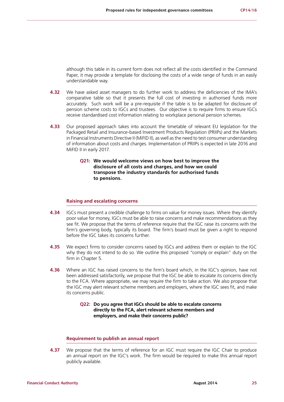although this table in its current form does not reflect all the costs identified in the Command Paper, it may provide a template for disclosing the costs of a wide range of funds in an easily understandable way.

- **4.32** We have asked asset managers to do further work to address the deficiencies of the IMA's comparative table so that it presents the full cost of investing in authorised funds more accurately. Such work will be a pre-requisite if the table is to be adapted for disclosure of pension scheme costs to IGCs and trustees. Our objective is to require firms to ensure IGCs receive standardised cost information relating to workplace personal pension schemes.
- **4.33** Our proposed approach takes into account the timetable of relevant EU legislation for the Packaged Retail and Insurance-based Investment Products Regulation (PRIIPs) and the Markets in Financial Instruments Directive II (MiFID II), as well as the need to test consumer understanding of information about costs and charges. Implementation of PRIIPs is expected in late 2016 and MiFID II in early 2017.
	- **Q21: We would welcome views on how best to improve the disclosure of all costs and charges, and how we could transpose the industry standards for authorised funds to pensions.**

#### **Raising and escalating concerns**

- **4.34** IGCs must present a credible challenge to firms on value for money issues. Where they identify poor value for money, IGCs must be able to raise concerns and make recommendations as they see fit. We propose that the terms of reference require that the IGC raise its concerns with the firm's governing body, typically its board. The firm's board must be given a right to respond before the IGC takes its concerns further.
- **4.35** We expect firms to consider concerns raised by IGCs and address them or explain to the IGC why they do not intend to do so. We outline this proposed "comply or explain" duty on the firm in Chapter 5.
- **4.36** Where an IGC has raised concerns to the firm's board which, in the IGC's opinion, have not been addressed satisfactorily, we propose that the IGC be able to escalate its concerns directly to the FCA. Where appropriate, we may require the firm to take action. We also propose that the IGC may alert relevant scheme members and employers, where the IGC sees fit, and make its concerns public.

### **Q22: Do you agree that IGCs should be able to escalate concerns directly to the FCA, alert relevant scheme members and employers, and make their concerns public?**

#### **Requirement to publish an annual report**

**4.37** We propose that the terms of reference for an IGC must require the IGC Chair to produce an annual report on the IGC's work. The firm would be required to make this annual report publicly available.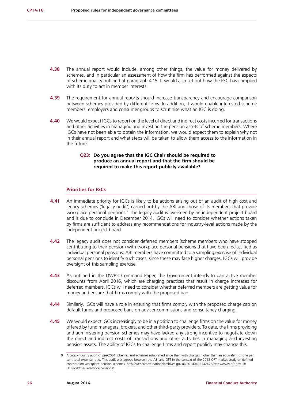- **4.38** The annual report would include, among other things, the value for money delivered by schemes, and in particular an assessment of how the firm has performed against the aspects of scheme quality outlined at paragraph 4.15. It would also set out how the IGC has complied with its duty to act in member interests.
- **4.39** The requirement for annual reports should increase transparency and encourage comparison between schemes provided by different firms. In addition, it would enable interested scheme members, employers and consumer groups to scrutinise what an IGC is doing.
- **4.40** We would expect IGCs to report on the level of direct and indirect costs incurred for transactions and other activities in managing and investing the pension assets of scheme members. Where IGCs have not been able to obtain the information, we would expect them to explain why not in their annual report and what steps will be taken to allow them access to the information in the future.

### **Q23: Do you agree that the IGC Chair should be required to produce an annual report and that the firm should be required to make this report publicly available?**

#### **Priorities for IGCs**

- **4.41** An immediate priority for IGCs is likely to be actions arising out of an audit of high cost and legacy schemes ('legacy audit') carried out by the ABI and those of its members that provide workplace personal pensions.<sup>9</sup> The legacy audit is overseen by an independent project board and is due to conclude in December 2014. IGCs will need to consider whether actions taken by firms are sufficient to address any recommendations for industry-level actions made by the independent project board.
- **4.42** The legacy audit does not consider deferred members (scheme members who have stopped contributing to their pension) with workplace personal pensions that have been reclassified as individual personal pensions. ABI members have committed to a sampling exercise of individual personal pensions to identify such cases, since these may face higher charges. IGCs will provide oversight of this sampling exercise.
- **4.43** As outlined in the DWP's Command Paper, the Government intends to ban active member discounts from April 2016, which are charging practices that result in charge increases for deferred members. IGCs will need to consider whether deferred members are getting value for money and ensure that firms comply with the proposed ban.
- **4.44** Similarly, IGCs will have a role in ensuring that firms comply with the proposed charge cap on default funds and proposed bans on adviser commissions and consultancy charging.
- **4.45** We would expect IGCs increasingly to be in a position to challenge firms on the value for money offered by fund managers, brokers, and other third-party providers. To date, the firms providing and administering pension schemes may have lacked any strong incentive to negotiate down the direct and indirect costs of transactions and other activities in managing and investing pension assets. The ability of IGCs to challenge firms and report publicly may change this.

<sup>9</sup> A cross-industry audit of pre-2001 schemes and schemes established since then with charges higher than an equivalent of one per cent total expense ratio. This audit was agreed between the ABI and OFT in the context of the 2013 OFT market study on defined contribution workplace pension schemes. [http://webarchive.nationalarchives.gov.uk/20140402142426/http://www.oft.gov.uk/](http://webarchive.nationalarchives.gov.uk/20140402142426/http://www.oft.gov.uk/OFTwork/markets-work/) [OFTwork/markets-work/pensions/](http://webarchive.nationalarchives.gov.uk/20140402142426/http://www.oft.gov.uk/OFTwork/markets-work/)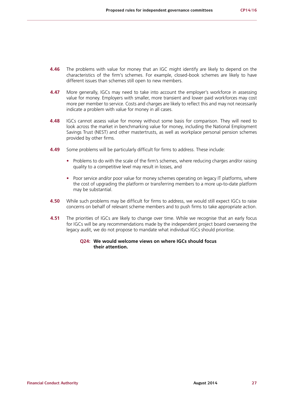- **4.46** The problems with value for money that an IGC might identify are likely to depend on the characteristics of the firm's schemes. For example, closed-book schemes are likely to have different issues than schemes still open to new members.
- **4.47** More generally, IGCs may need to take into account the employer's workforce in assessing value for money. Employers with smaller, more transient and lower paid workforces may cost more per member to service. Costs and charges are likely to reflect this and may not necessarily indicate a problem with value for money in all cases.
- **4.48** IGCs cannot assess value for money without some basis for comparison. They will need to look across the market in benchmarking value for money, including the National Employment Savings Trust (NEST) and other mastertrusts, as well as workplace personal pension schemes provided by other firms.
- **4.49** Some problems will be particularly difficult for firms to address. These include:
	- **•** Problems to do with the scale of the firm's schemes, where reducing charges and/or raising quality to a competitive level may result in losses, and
	- Poor service and/or poor value for money schemes operating on legacy IT platforms, where the cost of upgrading the platform or transferring members to a more up-to-date platform may be substantial.
- **4.50** While such problems may be difficult for firms to address, we would still expect IGCs to raise concerns on behalf of relevant scheme members and to push firms to take appropriate action.
- **4.51** The priorities of IGCs are likely to change over time. While we recognise that an early focus for IGCs will be any recommendations made by the independent project board overseeing the legacy audit, we do not propose to mandate what individual IGCs should prioritise.

#### **Q24: We would welcome views on where IGCs should focus their attention.**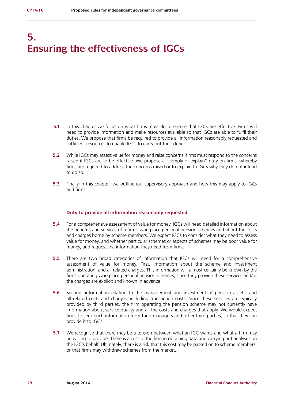## **5. Ensuring the effectiveness of IGCs**

- **5.1** In this chapter we focus on what firms must do to ensure that IGCs are effective. Firms will need to provide information and make resources available so that IGCs are able to fulfil their duties. We propose that firms be required to provide all information reasonably requested and sufficient resources to enable IGCs to carry out their duties.
- **5.2** While IGCs may assess value for money and raise concerns, firms must respond to the concerns raised if IGCs are to be effective. We propose a "comply or explain" duty on firms, whereby firms are required to address the concerns raised or to explain to IGCs why they do not intend to do so.
- **5.3** Finally in this chapter, we outline our supervisory approach and how this may apply to IGCs and firms.

#### **Duty to provide all information reasonably requested**

- **5.4** For a comprehensive assessment of value for money, IGCs will need detailed information about the benefits and services of a firm's workplace personal pension schemes and about the costs and charges borne by scheme members. We expect IGCs to consider what they need to assess value for money, and whether particular schemes or aspects of schemes may be poor value for money, and request the information they need from firms.
- **5.5** There are two broad categories of information that IGCs will need for a comprehensive assessment of value for money. First, information about the scheme and investment administration, and all related charges. This information will almost certainly be known by the firms operating workplace personal pension schemes, since they provide these services and/or the charges are explicit and known in advance.
- **5.6** Second, information relating to the management and investment of pension assets, and all related costs and charges, including transaction costs. Since these services are typically provided by third parties, the firm operating the pension scheme may not currently have information about service quality and all the costs and charges that apply. We would expect firms to seek such information from fund managers and other third parties, so that they can provide it to IGCs.
- **5.7** We recognise that there may be a tension between what an IGC wants and what a firm may be willing to provide. There is a cost to the firm in obtaining data and carrying out analyses on the IGC's behalf. Ultimately, there is a risk that this cost may be passed on to scheme members, or that firms may withdraw schemes from the market.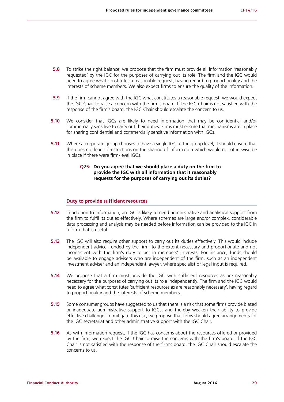- **5.8** To strike the right balance, we propose that the firm must provide all information 'reasonably requested' by the IGC for the purposes of carrying out its role. The firm and the IGC would need to agree what constitutes a reasonable request, having regard to proportionality and the interests of scheme members. We also expect firms to ensure the quality of the information.
- **5.9** If the firm cannot agree with the IGC what constitutes a reasonable request, we would expect the IGC Chair to raise a concern with the firm's board. If the IGC Chair is not satisfied with the response of the firm's board, the IGC Chair should escalate the concern to us.
- **5.10** We consider that IGCs are likely to need information that may be confidential and/or commercially sensitive to carry out their duties. Firms must ensure that mechanisms are in place for sharing confidential and commercially sensitive information with IGCs.
- **5.11** Where a corporate group chooses to have a single IGC at the group level, it should ensure that this does not lead to restrictions on the sharing of information which would not otherwise be in place if there were firm-level IGCs.

## **Q25: Do you agree that we should place a duty on the firm to provide the IGC with all information that it reasonably requests for the purposes of carrying out its duties?**

#### **Duty to provide sufficient resources**

- **5.12** In addition to information, an IGC is likely to need administrative and analytical support from the firm to fulfil its duties effectively. Where schemes are large and/or complex, considerable data processing and analysis may be needed before information can be provided to the IGC in a form that is useful.
- **5.13** The IGC will also require other support to carry out its duties effectively. This would include independent advice, funded by the firm, to the extent necessary and proportionate and not inconsistent with the firm's duty to act in members' interests. For instance, funds should be available to engage advisers who are independent of the firm, such as an independent investment adviser and an independent lawyer, where specialist or legal input is required.
- **5.14** We propose that a firm must provide the IGC with sufficient resources as are reasonably necessary for the purposes of carrying out its role independently. The firm and the IGC would need to agree what constitutes 'sufficient resources as are reasonably necessary', having regard to proportionality and the interests of scheme members.
- **5.15** Some consumer groups have suggested to us that there is a risk that some firms provide biased or inadequate administrative support to IGCs, and thereby weaken their ability to provide effective challenge. To mitigate this risk, we propose that firms should agree arrangements for the IGC secretariat and other administrative support with the IGC Chair.
- **5.16** As with information request, if the IGC has concerns about the resources offered or provided by the firm, we expect the IGC Chair to raise the concerns with the firm's board. If the IGC Chair is not satisfied with the response of the firm's board, the IGC Chair should escalate the concerns to us.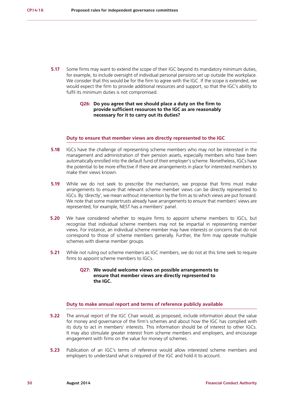**5.17** Some firms may want to extend the scope of their IGC beyond its mandatory minimum duties, for example, to include oversight of individual personal pensions set up outside the workplace. We consider that this would be for the firm to agree with the IGC. If the scope is extended, we would expect the firm to provide additional resources and support, so that the IGC's ability to fulfil its minimum duties is not compromised.

## **Q26: Do you agree that we should place a duty on the firm to provide sufficient resources to the IGC as are reasonably necessary for it to carry out its duties?**

#### **Duty to ensure that member views are directly represented to the IGC**

- **5.18** IGCs have the challenge of representing scheme members who may not be interested in the management and administration of their pension assets, especially members who have been automatically enrolled into the default fund of their employer's scheme. Nonetheless, IGCs have the potential to be more effective if there are arrangements in place for interested members to make their views known.
- **5.19** While we do not seek to prescribe the mechanism, we propose that firms must make arrangements to ensure that relevant scheme member views can be directly represented to IGCs. By 'directly', we mean without intervention by the firm as to which views are put forward. We note that some mastertrusts already have arrangements to ensure that members' views are represented; for example, NEST has a members' panel.
- **5.20** We have considered whether to require firms to appoint scheme members to IGCs, but recognise that individual scheme members may not be impartial in representing member views. For instance, an individual scheme member may have interests or concerns that do not correspond to those of scheme members generally. Further, the firm may operate multiple schemes with diverse member groups.
- **5.21** While not ruling out scheme members as IGC members, we do not at this time seek to require firms to appoint scheme members to IGCs.

## **Q27: We would welcome views on possible arrangements to ensure that member views are directly represented to the IGC.**

#### **Duty to make annual report and terms of reference publicly available**

- **5.22** The annual report of the IGC Chair would, as proposed, include information about the value for money and governance of the firm's schemes and about how the IGC has complied with its duty to act in members' interests. This information should be of interest to other IGCs. It may also stimulate greater interest from scheme members and employers, and encourage engagement with firms on the value for money of schemes.
- **5.23** Publication of an IGC's terms of reference would allow interested scheme members and employers to understand what is required of the IGC and hold it to account.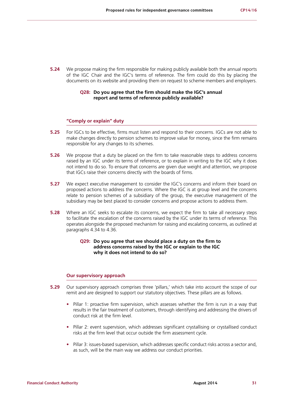**5.24** We propose making the firm responsible for making publicly available both the annual reports of the IGC Chair and the IGC's terms of reference. The firm could do this by placing the documents on its website and providing them on request to scheme members and employers.

#### **Q28: Do you agree that the firm should make the IGC's annual report and terms of reference publicly available?**

#### **"Comply or explain" duty**

- **5.25** For IGCs to be effective, firms must listen and respond to their concerns. IGCs are not able to make changes directly to pension schemes to improve value for money, since the firm remains responsible for any changes to its schemes.
- **5.26** We propose that a duty be placed on the firm to take reasonable steps to address concerns raised by an IGC under its terms of reference, or to explain in writing to the IGC why it does not intend to do so. To ensure that concerns are given due weight and attention, we propose that IGCs raise their concerns directly with the boards of firms.
- **5.27** We expect executive management to consider the IGC's concerns and inform their board on proposed actions to address the concerns. Where the IGC is at group level and the concerns relate to pension schemes of a subsidiary of the group, the executive management of the subsidiary may be best placed to consider concerns and propose actions to address them.
- **5.28** Where an IGC seeks to escalate its concerns, we expect the firm to take all necessary steps to facilitate the escalation of the concerns raised by the IGC under its terms of reference. This operates alongside the proposed mechanism for raising and escalating concerns, as outlined at paragraphs 4.34 to 4.36.

### **Q29: Do you agree that we should place a duty on the firm to address concerns raised by the IGC or explain to the IGC why it does not intend to do so?**

#### **Our supervisory approach**

- **5.29** Our supervisory approach comprises three 'pillars,' which take into account the scope of our remit and are designed to support our statutory objectives. These pillars are as follows.
	- **•** Pillar 1: proactive firm supervision, which assesses whether the firm is run in a way that results in the fair treatment of customers, through identifying and addressing the drivers of conduct risk at the firm level.
	- Pillar 2: event supervision, which addresses significant crystallising or crystallised conduct risks at the firm level that occur outside the firm assessment cycle.
	- Pillar 3: issues-based supervision, which addresses specific conduct risks across a sector and, as such, will be the main way we address our conduct priorities.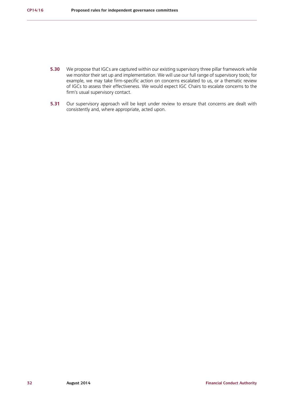- **5.30** We propose that IGCs are captured within our existing supervisory three pillar framework while we monitor their set up and implementation. We will use our full range of supervisory tools; for example, we may take firm-specific action on concerns escalated to us, or a thematic review of IGCs to assess their effectiveness. We would expect IGC Chairs to escalate concerns to the firm's usual supervisory contact.
- **5.31** Our supervisory approach will be kept under review to ensure that concerns are dealt with consistently and, where appropriate, acted upon.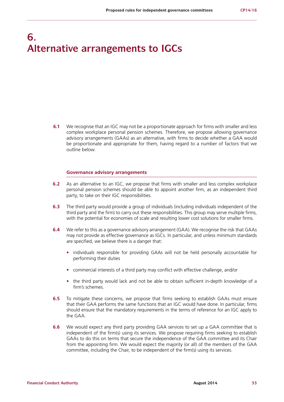## **6. Alternative arrangements to IGCs**

**6.1** We recognise that an IGC may not be a proportionate approach for firms with smaller and less complex workplace personal pension schemes. Therefore, we propose allowing governance advisory arrangements (GAAs) as an alternative, with firms to decide whether a GAA would be proportionate and appropriate for them, having regard to a number of factors that we outline below.

#### **Governance advisory arrangements**

- **6.2** As an alternative to an IGC, we propose that firms with smaller and less complex workplace personal pension schemes should be able to appoint another firm, as an independent third party, to take on their IGC responsibilities.
- **6.3** The third party would provide a group of individuals (including individuals independent of the third party and the firm) to carry out these responsibilities. This group may serve multiple firms, with the potential for economies of scale and resulting lower cost solutions for smaller firms.
- **6.4** We refer to this as a governance advisory arrangement (GAA). We recognise the risk that GAAs may not provide as effective governance as IGCs. In particular, and unless minimum standards are specified, we believe there is a danger that:
	- **•** individuals responsible for providing GAAs will not be held personally accountable for performing their duties
	- **•** commercial interests of a third party may conflict with effective challenge, and/or
	- **•** the third party would lack and not be able to obtain sufficient in-depth knowledge of a firm's schemes.
- **6.5** To mitigate these concerns, we propose that firms seeking to establish GAAs must ensure that their GAA performs the same functions that an IGC would have done. In particular, firms should ensure that the mandatory requirements in the terms of reference for an IGC apply to the GAA.
- **6.6** We would expect any third party providing GAA services to set up a GAA committee that is independent of the firm(s) using its services. We propose requiring firms seeking to establish GAAs to do this on terms that secure the independence of the GAA committee and its Chair from the appointing firm. We would expect the majority (or all) of the members of the GAA committee, including the Chair, to be independent of the firm(s) using its services.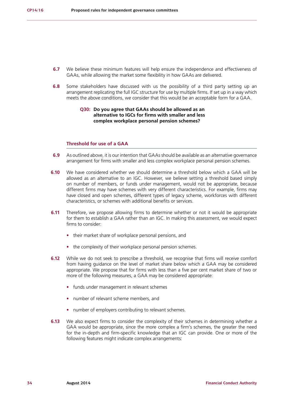- **6.7** We believe these minimum features will help ensure the independence and effectiveness of GAAs, while allowing the market some flexibility in how GAAs are delivered.
- **6.8** Some stakeholders have discussed with us the possibility of a third party setting up an arrangement replicating the full IGC structure for use by multiple firms. If set up in a way which meets the above conditions, we consider that this would be an acceptable form for a GAA.

### **Q30: Do you agree that GAAs should be allowed as an alternative to IGCs for firms with smaller and less complex workplace personal pension schemes?**

## **Threshold for use of a GAA**

- **6.9** As outlined above, it is our intention that GAAs should be available as an alternative governance arrangement for firms with smaller and less complex workplace personal pension schemes.
- **6.10** We have considered whether we should determine a threshold below which a GAA will be allowed as an alternative to an IGC. However, we believe setting a threshold based simply on number of members, or funds under management, would not be appropriate, because different firms may have schemes with very different characteristics. For example, firms may have closed and open schemes, different types of legacy scheme, workforces with different characteristics, or schemes with additional benefits or services.
- **6.11** Therefore, we propose allowing firms to determine whether or not it would be appropriate for them to establish a GAA rather than an IGC. In making this assessment, we would expect firms to consider:
	- **•** their market share of workplace personal pensions, and
	- **•** the complexity of their workplace personal pension schemes.
- **6.12** While we do not seek to prescribe a threshold, we recognise that firms will receive comfort from having guidance on the level of market share below which a GAA may be considered appropriate. We propose that for firms with less than a five per cent market share of two or more of the following measures, a GAA may be considered appropriate:
	- **•** funds under management in relevant schemes
	- **•** number of relevant scheme members, and
	- **•** number of employers contributing to relevant schemes.
- **6.13** We also expect firms to consider the complexity of their schemes in determining whether a GAA would be appropriate, since the more complex a firm's schemes, the greater the need for the in-depth and firm-specific knowledge that an IGC can provide. One or more of the following features might indicate complex arrangements: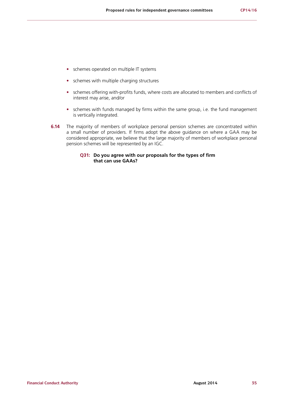- **•** schemes operated on multiple IT systems
- **•** schemes with multiple charging structures
- **•** schemes offering with-profits funds, where costs are allocated to members and conflicts of interest may arise, and/or
- **•** schemes with funds managed by firms within the same group, i.e. the fund management is vertically integrated.
- **6.14** The majority of members of workplace personal pension schemes are concentrated within a small number of providers. If firms adopt the above guidance on where a GAA may be considered appropriate, we believe that the large majority of members of workplace personal pension schemes will be represented by an IGC.

## **Q31: Do you agree with our proposals for the types of firm that can use GAAs?**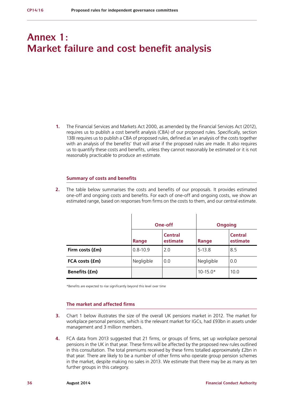## **Annex 1: Market failure and cost benefit analysis**

**1.** The Financial Services and Markets Act 2000, as amended by the Financial Services Act (2012), requires us to publish a cost benefit analysis (CBA) of our proposed rules. Specifically, section 138I requires us to publish a CBA of proposed rules, defined as 'an analysis of the costs together with an analysis of the benefits' that will arise if the proposed rules are made. It also requires us to quantify these costs and benefits, unless they cannot reasonably be estimated or it is not reasonably practicable to produce an estimate.

#### **Summary of costs and benefits**

**2.** The table below summarises the costs and benefits of our proposals. It provides estimated one-off and ongoing costs and benefits. For each of one-off and ongoing costs, we show an estimated range, based on responses from firms on the costs to them, and our central estimate.

|                      | One-off      |                            | <b>Ongoing</b> |                            |
|----------------------|--------------|----------------------------|----------------|----------------------------|
|                      | Range        | <b>Central</b><br>estimate | Range          | <b>Central</b><br>estimate |
| Firm costs (£m)      | $0.8 - 10.9$ | 2.0                        | $5-13.8$       | 8.5                        |
| FCA costs (£m)       | Negligible   | 0.0                        | Negligible     | 0.0                        |
| <b>Benefits (£m)</b> |              |                            | $10 - 15.0*$   | 10.0                       |

\*Benefits are expected to rise significantly beyond this level over time

#### **The market and affected firms**

- **3.** Chart 1 below illustrates the size of the overall UK pensions market in 2012. The market for workplace personal pensions, which is the relevant market for IGCs, had £93bn in assets under management and 3 million members.
- **4.** FCA data from 2013 suggested that 21 firms, or groups of firms, set up workplace personal pensions in the UK in that year. These firms will be affected by the proposed new rules outlined in this consultation. The total premiums received by these firms totalled approximately £2bn in that year. There are likely to be a number of other firms who operate group pension schemes in the market, despite making no sales in 2013. We estimate that there may be as many as ten further groups in this category.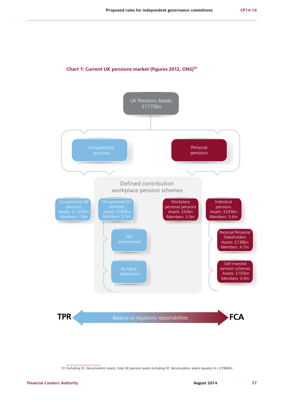## **Chart 1: Current UK pensions market (figures 2012, ONS)10**



<sup>10</sup> Excluding DC decumulation assets; total UK pension assets including DC decumulation assets equates to c.£1960bn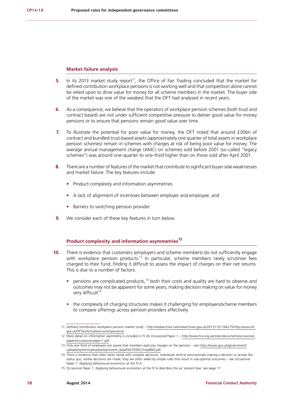#### **Market failure analysis**

- **5.** In its 2013 market study report<sup>11</sup>, the Office of Fair Trading concluded that the market for defined contribution workplace pensions is not working well and that competition alone cannot be relied upon to drive value for money for all scheme members in the market. The buyer side of the market was one of the weakest that the OFT had analysed in recent years.
- **6.** As a consequence, we believe that the operators of workplace pension schemes (both trust and contract based) are not under sufficient competitive pressure to deliver good value for money pensions or to ensure that pensions remain good value over time.
- **7.** To illustrate the potential for poor value for money, the OFT noted that around £30bn of contract and bundled trust-based assets (approximately one quarter of total assets in workplace pension schemes) remain in schemes with charges at risk of being poor value for money. The average annual management charge (AMC) on schemes sold before 2001 (so-called "legacy schemes") was around one-quarter to one-third higher than on those sold after April 2001.
- **8.** There are a number of features of the market that contribute to significant buyer side weaknesses and market failure. The key features include:
	- **•** Product complexity and information asymmetries
	- **•** A lack of alignment of incentives between employer and employee, and
	- **•** Barriers to switching pension provider.
- **9.** We consider each of these key features in turn below.

## **Product complexity and information asymmetries12**

- **10.** There is evidence that customers (employers and scheme members) do not sufficiently engage with workplace pension products.<sup>13</sup> In particular, scheme members rarely scrutinise fees charged to their fund, finding it difficult to assess the impact of charges on their net returns. This is due to a number of factors:
	- pensions are complicated products,<sup>14</sup> both their costs and quality are hard to observe and outcomes may not be apparent for some years, making decision making on value for money very difficult<sup>15</sup>
	- **•** the complexity of charging structures makes it challenging for employers/scheme members to compare offerings across pension providers effectively

<sup>11</sup> *Defined contribution workplace pension market study* – [http://webarchive.nationalarchives.gov.uk/20131101164215/http:/www.oft.](http://webarchive.nationalarchives.gov.uk/20131101164215/http:/www.oft.gov.uk/OFTwork/markets-work/pensions/) [gov.uk/OFTwork/markets-work/pensions/](http://webarchive.nationalarchives.gov.uk/20131101164215/http:/www.oft.gov.uk/OFTwork/markets-work/pensions/)

<sup>12</sup> More detail on information asymmetry is included in FCA's Occasional Paper 1 – [http://www.fca.org.uk/static/documents/occasional](http://www.fca.org.uk/static/documents/occasional-papers/occasional-paper-1.pdf)[papers/occasional-paper-1.pdf](http://www.fca.org.uk/static/documents/occasional-papers/occasional-paper-1.pdf)

<sup>13</sup> Only one third of employers are aware that members paid any charges on the pension – see [https://www.gov.uk/government/](https://www.gov.uk/government/uploads/system/uploads/attachment_data/file/193451/rrep804.pdf) [uploads/system/uploads/attachment\\_data/file/193451/rrep804.pdf](https://www.gov.uk/government/uploads/system/uploads/attachment_data/file/193451/rrep804.pdf)

<sup>14</sup> There is evidence that often when faced with complex decisions, individuals tend to procrastinate making a decision or accept the status quo, where decisions are made, they are often aided by simple rules that result in sub-optimal outcomes – see Occasional Paper 1: Applying behavioural economics at the FCA

<sup>15</sup> Occasional Paper 1: Applying behavioural economics at the FCA describes this as 'present bias' see page 17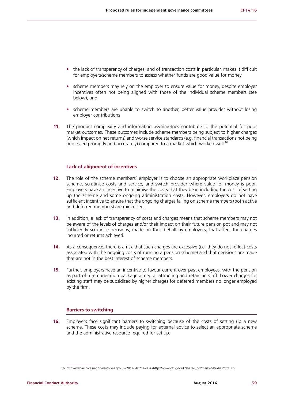- the lack of transparency of charges, and of transaction costs in particular, makes it difficult for employers/scheme members to assess whether funds are good value for money
- scheme members may rely on the employer to ensure value for money, despite employer incentives often not being aligned with those of the individual scheme members (see below), and
- **•** scheme members are unable to switch to another, better value provider without losing employer contributions
- **11.** The product complexity and information asymmetries contribute to the potential for poor market outcomes. These outcomes include scheme members being subject to higher charges (which impact on net returns) and worse service standards (e.g. financial transactions not being processed promptly and accurately) compared to a market which worked well.<sup>16</sup>

### **Lack of alignment of incentives**

- **12.** The role of the scheme members' employer is to choose an appropriate workplace pension scheme, scrutinise costs and service, and switch provider where value for money is poor. Employers have an incentive to minimise the costs that they bear, including the cost of setting up the scheme and some ongoing administration costs. However, employers do not have sufficient incentive to ensure that the ongoing charges falling on scheme members (both active and deferred members) are minimised.
- **13.** In addition, a lack of transparency of costs and charges means that scheme members may not be aware of the levels of charges and/or their impact on their future pension pot and may not sufficiently scrutinise decisions, made on their behalf by employers, that affect the charges incurred or returns achieved.
- **14.** As a consequence, there is a risk that such charges are excessive (i.e. they do not reflect costs associated with the ongoing costs of running a pension scheme) and that decisions are made that are not in the best interest of scheme members.
- **15.** Further, employers have an incentive to favour current over past employees, with the pension as part of a remuneration package aimed at attracting and retaining staff. Lower charges for existing staff may be subsidised by higher charges for deferred members no longer employed by the firm.

#### **Barriers to switching**

**16.** Employers face significant barriers to switching because of the costs of setting up a new scheme. These costs may include paying for external advice to select an appropriate scheme and the administrative resource required for set up.

<sup>16</sup> [http://webarchive.nationalarchives.gov.uk/20140402142426/http://www.oft.gov.uk/shared\\_oft/market-studies/oft1505](http://webarchive.nationalarchives.gov.uk/20140402142426/http://www.oft.gov.uk/shared_oft/market-studies/oft1505)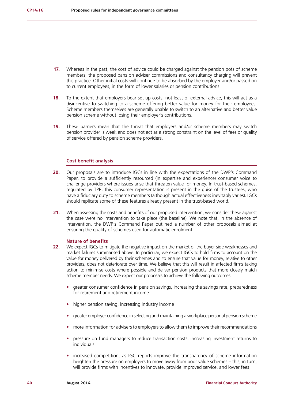- **17.** Whereas in the past, the cost of advice could be charged against the pension pots of scheme members, the proposed bans on adviser commissions and consultancy charging will prevent this practice. Other initial costs will continue to be absorbed by the employer and/or passed on to current employees, in the form of lower salaries or pension contributions.
- **18.** To the extent that employers bear set up costs, not least of external advice, this will act as a disincentive to switching to a scheme offering better value for money for their employees. Scheme members themselves are generally unable to switch to an alternative and better value pension scheme without losing their employer's contributions.
- **19.** These barriers mean that the threat that employers and/or scheme members may switch pension provider is weak and does not act as a strong constraint on the level of fees or quality of service offered by pension scheme providers.

#### **Cost benefit analysis**

- 20. Our proposals are to introduce IGCs in line with the expectations of the DWP's Command Paper, to provide a sufficiently resourced (in expertise and experience) consumer voice to challenge providers where issues arise that threaten value for money. In trust-based schemes, regulated by TPR, this consumer representation is present in the guise of the trustees, who have a fiduciary duty to scheme members (although actual effectiveness inevitably varies). IGCs should replicate some of these features already present in the trust-based world.
- **21.** When assessing the costs and benefits of our proposed intervention, we consider these against the case were no intervention to take place (the baseline). We note that, in the absence of intervention, the DWP's Command Paper outlined a number of other proposals aimed at ensuring the quality of schemes used for automatic enrolment.

#### **Nature of benefits**

- **22.** We expect IGCs to mitigate the negative impact on the market of the buyer side weaknesses and market failures summarised above. In particular, we expect IGCs to hold firms to account on the value for money delivered by their schemes and to ensure that value for money, relative to other providers, does not deteriorate over time. We believe that this will result in affected firms taking action to minimise costs where possible and deliver pension products that more closely match scheme member needs. We expect our proposals to achieve the following outcomes:
	- **•** greater consumer confidence in pension savings, increasing the savings rate, preparedness for retirement and retirement income
	- **•** higher pension saving, increasing industry income
	- **•** greater employer confidence in selecting and maintaining a workplace personal pension scheme
	- **•** more information for advisers to employers to allow them to improve their recommendations
	- **•** pressure on fund managers to reduce transaction costs, increasing investment returns to individuals
	- increased competition, as IGC reports improve the transparency of scheme information heighten the pressure on employers to move away from poor value schemes – this, in turn, will provide firms with incentives to innovate, provide improved service, and lower fees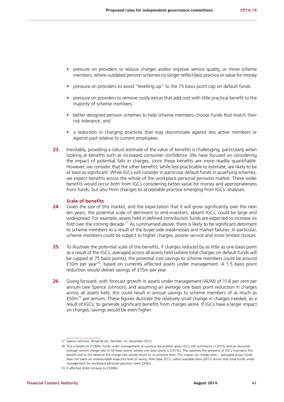- **•** pressure on providers to reduce charges and/or improve service quality, or move scheme members, where outdated pension schemes no longer reflect best practice or value for money
- **•** pressure on providers to avoid "levelling up" to the 75 basis point cap on default funds
- **•** pressure on providers to remove costly extras that add cost with little practical benefit to the majority of scheme members
- **•** better designed pension schemes to help scheme members choose funds that match their risk tolerance, and
- **•** a reduction in charging practices that may discriminate against less active members or against past relative to current employees.
- **23.** Inevitably, providing a robust estimate of the value of benefits is challenging, particularly when looking at benefits such as increased consumer confidence. We have focused on considering the impact of potential falls in charges, since these benefits are more readily quantifiable. However, we consider that the other benefits, while less practicable to estimate, are likely to be at least as significant. While IGCs will consider in particular default funds in qualifying schemes, we expect benefits across the whole of the workplace personal pensions market. These wider benefits would occur both from IGCs considering better value for money and appropriateness from funds, but also from changes to acceptable practice emerging from IGCs' analyses.

#### **Scale of benefits**

- **24.** Given the size of this market, and the expectation that it will grow significantly over the next ten years, the potential scale of detriment to end-investors, absent IGCs, could be large and widespread. For example, assets held in defined contribution funds are expected to increase six fold over the coming decade.<sup>17</sup> As summarised above, there is likely to be significant detriment to scheme members as a result of the buyer side weaknesses and market failures. In particular, scheme members could be subject to higher charges, poorer service and more limited choices.
- **25.** To illustrate the potential scale of the benefits, if charges reduced by as little as one basis point as a result of the IGCs, averaged across all assets held (where total charges on default funds will be capped at 75 basis points), the potential cost savings to scheme members could be around £10m per year18, based on currently affected assets under management. A 1.5 basis point reduction would deliver savings of £15m per year.
- **26.** Going forward, with forecast growth in assets under management (AUM) of 11.6 per cent per annum (see Spence Johnson), and assuming an average one basis point reduction in charges across all assets held, this could result in annual savings to scheme members of as much as  $£50m<sup>19</sup>$  per annum. These figures illustrate the relatively small change in charges needed, as a result of IGCs, to generate significant benefits from charges alone. If IGCs have a larger impact on charges, savings would be even higher.

<sup>17</sup> Spence Johnson, Broad Brush, Number 14, December 2012

<sup>18</sup> This is based on £100bn funds under management (a cautious assumption given IGCs will commence in 2015) and an assumed average current charge rate of 50 basis points (where one basis point is 0.01%). This assumes the presence of IGCs maintains this benefit and in the absence the charge rate would return to its previous level. This impact on charge rates – averaged across funds does not seem an unreasonable expected level of saving. IMA data 2012, Latest available data (2012) shows that total funds under management for workplace personal pensions were £93bn.

<sup>19</sup> If affected AUM increase to £500bn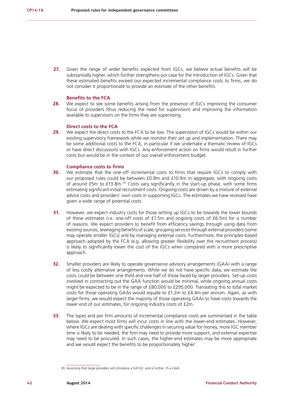27. Given the range of wider benefits expected from IGCs, we believe actual benefits will be substantially higher, which further strengthens our case for the introduction of IGCs. Given that these estimated benefits exceed our expected incremental compliance costs to firms, we do not consider it proportionate to provide an estimate of the other benefits.

#### **Benefits to the FCA**

**28.** We expect to see some benefits arising from the presence of IGCs improving the consumer focus of providers (thus reducing the need for supervision) and improving the information available to supervisors on the firms they are supervising.

#### **Direct costs to the FCA**

**29.** We expect the direct costs to the FCA to be low. The supervision of IGCs would be within our existing supervisory framework while we monitor their set up and implementation. There may be some additional costs to the FCA, in particular if we undertake a thematic review of IGCs or have direct discussions with IGCs. Any enforcement action on firms would result in further costs but would be in the context of our overall enforcement budget.

#### **Compliance costs to firms**

- **30.** We estimate that the one-off incremental costs to firms that require IGCs to comply with our proposed rules could be between £0.8m and £10.9m in aggregate, with ongoing costs of around  $£5m$  to  $£13.8m<sup>20</sup>$  Costs vary significantly in the start-up phase, with some firms estimating significant initial recruitment costs. Ongoing costs are driven by a mixture of external advice costs and providers' own costs in supporting IGCs. The estimates we have received have given a wide range of potential costs.
- **31.** However, we expect industry costs for those setting up IGCs to be towards the lower bounds of these estimates (i.e. one-off costs of £1.5m and ongoing costs of £6.5m) for a number of reasons. We expect providers to benefit from efficiency savings through using data from existing sources, leveraging benefits of scale, grouping services through external providers (some may operate smaller IGCs) and by managing external costs. Furthermore, the principles-based approach adopted by the FCA (e.g. allowing greater flexibility over the recruitment process) is likely to significantly lower the cost of the IGCs when compared with a more prescriptive approach.
- **32.** Smaller providers are likely to operate governance advisory arrangements (GAA) with a range of less costly alternative arrangements. While we do not have specific data, we estimate the costs could be between one third and one half of those faced by larger providers. Set-up costs involved in contracting out the GAA function would be minimal, while ongoing annual costs might be expected to be in the range of £80,000 to £295,000. Translating this to total market costs for those operating GAAs would equate to £1.2m to £4.4m per annum. Again, as with larger firms, we would expect the majority of those operating GAAs to have costs towards the lower end of our estimates, for ongoing industry costs of £2m.
- **33.** The types and per firm amounts of incremental compliance costs are summarised in the table below. We expect most firms will incur costs in line with the lower-end estimates. However, where IGCs are dealing with specific challenges in securing value for money, more IGC member time is likely to be needed, the firm may need to provide more support, and external expertise may need to be procured. In such cases, the higher-end estimates may be more appropriate and we would expect the benefits to be proportionately higher.

<sup>20</sup> Assuming that large providers will introduce a full IGC and a further 15 a GAA.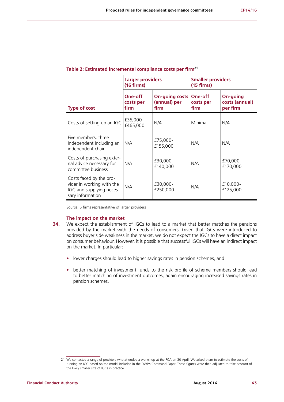|                                                                                                      | <b>Larger providers</b><br>$(16 \times 1)$ |                                               | <b>Smaller providers</b><br>$(15 \times 1)$ |                                               |
|------------------------------------------------------------------------------------------------------|--------------------------------------------|-----------------------------------------------|---------------------------------------------|-----------------------------------------------|
| <b>Type of cost</b>                                                                                  | One-off<br>costs per<br>firm               | <b>On-going costs</b><br>(annual) per<br>firm | One-off<br>costs per<br>firm                | <b>On-going</b><br>costs (annual)<br>per firm |
| Costs of setting up an IGC                                                                           | £35,000 -<br>£465,000                      | N/A                                           | Minimal                                     | N/A                                           |
| Five members, three<br>independent including an<br>independent chair                                 | N/A                                        | £75,000-<br>£155,000                          | N/A                                         | N/A                                           |
| Costs of purchasing exter-<br>nal advice necessary for<br>committee business                         | N/A                                        | £30,000 -<br>£140,000                         | N/A                                         | £70,000-<br>£170,000                          |
| Costs faced by the pro-<br>vider in working with the<br>IGC and supplying neces-<br>sary information | N/A                                        | £30,000-<br>£250,000                          | N/A                                         | £10,000-<br>£125,000                          |

## **Table 2: Estimated incremental compliance costs per firm21**

Source: 5 firms representative of larger providers

#### **The impact on the market**

- **34.** We expect the establishment of IGCs to lead to a market that better matches the pensions provided by the market with the needs of consumers. Given that IGCs were introduced to address buyer side weakness in the market, we do not expect the IGCs to have a direct impact on consumer behaviour. However, it is possible that successful IGCs will have an indirect impact on the market. In particular:
	- **•** lower charges should lead to higher savings rates in pension schemes, and
	- **•** better matching of investment funds to the risk profile of scheme members should lead to better matching of investment outcomes, again encouraging increased savings rates in pension schemes.

<sup>21</sup> We contacted a range of providers who attended a workshop at the FCA on 30 April. We asked them to estimate the costs of running an IGC based on the model included in the DWP's Command Paper. These figures were then adjusted to take account of the likely smaller size of IGCs in practice.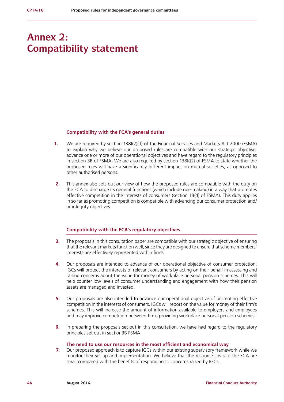## **Annex 2: Compatibility statement**

#### **Compatibility with the FCA's general duties**

- **1.** We are required by section 138I(2)(d) of the Financial Services and Markets Act 2000 (FSMA) to explain why we believe our proposed rules are compatible with our strategic objective, advance one or more of our operational objectives and have regard to the regulatory principles in section 3B of FSMA. We are also required by section 138K(2) of FSMA to state whether the proposed rules will have a significantly different impact on mutual societies, as opposed to other authorised persons.
- **2.** This annex also sets out our view of how the proposed rules are compatible with the duty on the FCA to discharge its general functions (which include rule-making) in a way that promotes effective competition in the interests of consumers (section 1B(4) of FSMA). This duty applies in so far as promoting competition is compatible with advancing our consumer protection and/ or integrity objectives.

#### **Compatibility with the FCA's regulatory objectives**

- **3.** The proposals in this consultation paper are compatible with our strategic objective of ensuring that the relevant markets function well, since they are designed to ensure that scheme members' interests are effectively represented within firms.
- **4.** Our proposals are intended to advance of our operational objective of consumer protection. IGCs will protect the interests of relevant consumers by acting on their behalf in assessing and raising concerns about the value for money of workplace personal pension schemes. This will help counter low levels of consumer understanding and engagement with how their pension assets are managed and invested.
- **5.** Our proposals are also intended to advance our operational objective of promoting effective competition in the interests of consumers. IGCs will report on the value for money of their firm's schemes. This will increase the amount of information available to employers and employees and may improve competition between firms providing workplace personal pension schemes.
- **6.** In preparing the proposals set out in this consultation, we have had regard to the regulatory principles set out in section3B FSMA.

#### **The need to use our resources in the most efficient and economical way**

**7.** Our proposed approach is to capture IGCs within our existing supervisory framework while we monitor their set up and implementation. We believe that the resource costs to the FCA are small compared with the benefits of responding to concerns raised by IGCs.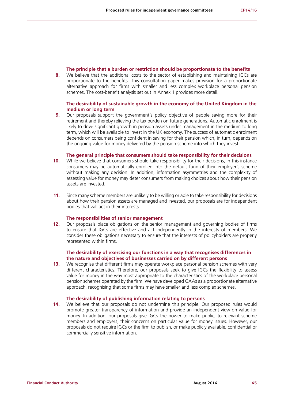#### **The principle that a burden or restriction should be proportionate to the benefits**

**8.** We believe that the additional costs to the sector of establishing and maintaining IGCs are proportionate to the benefits. This consultation paper makes provision for a proportionate alternative approach for firms with smaller and less complex workplace personal pension schemes. The cost-benefit analysis set out in Annex 1 provides more detail.

#### **The desirability of sustainable growth in the economy of the United Kingdom in the medium or long term**

**9.** Our proposals support the government's policy objective of people saving more for their retirement and thereby relieving the tax burden on future generations. Automatic enrolment is likely to drive significant growth in pension assets under management in the medium to long term, which will be available to invest in the UK economy. The success of automatic enrolment depends on consumers being confident in saving for their pension which, in turn, depends on the ongoing value for money delivered by the pension scheme into which they invest.

#### **The general principle that consumers should take responsibility for their decisions**

- **10.** While we believe that consumers should take responsibility for their decisions, in this instance consumers may be automatically enrolled into the default fund of their employer's scheme without making any decision. In addition, information asymmetries and the complexity of assessing value for money may deter consumers from making choices about how their pension assets are invested.
- **11.** Since many scheme members are unlikely to be willing or able to take responsibility for decisions about how their pension assets are managed and invested, our proposals are for independent bodies that will act in their interests.

#### **The responsibilities of senior management**

**12.** Our proposals place obligations on the senior management and governing bodies of firms to ensure that IGCs are effective and act independently in the interests of members. We consider these obligations necessary to ensure that the interests of policyholders are properly represented within firms.

#### **The desirability of exercising our functions in a way that recognises differences in the nature and objectives of businesses carried on by different persons**

**13.** We recognise that different firms may operate workplace personal pension schemes with very different characteristics. Therefore, our proposals seek to give IGCs the flexibility to assess value for money in the way most appropriate to the characteristics of the workplace personal pension schemes operated by the firm. We have developed GAAs as a proportionate alternative approach, recognising that some firms may have smaller and less complex schemes.

#### **The desirability of publishing information relating to persons**

**14.** We believe that our proposals do not undermine this principle. Our proposed rules would promote greater transparency of information and provide an independent view on value for money. In addition, our proposals give IGCs the power to make public, to relevant scheme members and employers, their concerns on particular value for money issues. However, our proposals do not require IGCs or the firm to publish, or make publicly available, confidential or commercially sensitive information.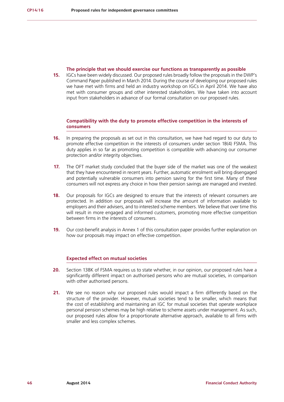#### **The principle that we should exercise our functions as transparently as possible**

**15.** IGCs have been widely discussed. Our proposed rules broadly follow the proposals in the DWP's Command Paper published in March 2014. During the course of developing our proposed rules we have met with firms and held an industry workshop on IGCs in April 2014. We have also met with consumer groups and other interested stakeholders. We have taken into account input from stakeholders in advance of our formal consultation on our proposed rules.

## **Compatibility with the duty to promote effective competition in the interests of consumers**

- **16.** In preparing the proposals as set out in this consultation, we have had regard to our duty to promote effective competition in the interests of consumers under section 1B(4) FSMA. This duty applies in so far as promoting competition is compatible with advancing our consumer protection and/or integrity objectives.
- **17.** The OFT market study concluded that the buyer side of the market was one of the weakest that they have encountered in recent years. Further, automatic enrolment will bring disengaged and potentially vulnerable consumers into pension saving for the first time. Many of these consumers will not express any choice in how their pension savings are managed and invested.
- **18.** Our proposals for IGCs are designed to ensure that the interests of relevant consumers are protected. In addition our proposals will increase the amount of information available to employers and their advisers, and to interested scheme members. We believe that over time this will result in more engaged and informed customers, promoting more effective competition between firms in the interests of consumers.
- **19.** Our cost-benefit analysis in Annex 1 of this consultation paper provides further explanation on how our proposals may impact on effective competition.

## **Expected effect on mutual societies**

- **20.** Section 138K of FSMA requires us to state whether, in our opinion, our proposed rules have a significantly different impact on authorised persons who are mutual societies, in comparison with other authorised persons.
- **21.** We see no reason why our proposed rules would impact a firm differently based on the structure of the provider. However, mutual societies tend to be smaller, which means that the cost of establishing and maintaining an IGC for mutual societies that operate workplace personal pension schemes may be high relative to scheme assets under management. As such, our proposed rules allow for a proportionate alternative approach, available to all firms with smaller and less complex schemes.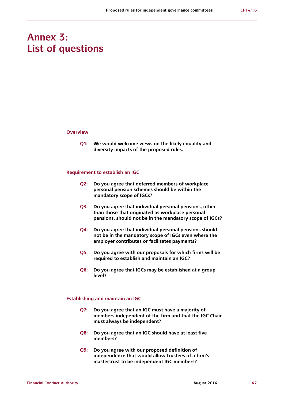## **Annex 3: List of questions**

#### **Overview**

**Q1: We would welcome views on the likely equality and diversity impacts of the proposed rules.**

#### **Requirement to establish an IGC**

- **Q2: Do you agree that deferred members of workplace personal pension schemes should be within the mandatory scope of IGCs?**
- **Q3: Do you agree that individual personal pensions, other than those that originated as workplace personal pensions, should not be in the mandatory scope of IGCs?**
- **Q4: Do you agree that individual personal pensions should not be in the mandatory scope of IGCs even where the employer contributes or facilitates payments?**
- **Q5: Do you agree with our proposals for which firms will be required to establish and maintain an IGC?**
- **Q6: Do you agree that IGCs may be established at a group level?**

#### **Establishing and maintain an IGC**

- **Q7: Do you agree that an IGC must have a majority of members independent of the firm and that the IGC Chair must always be independent?**
- **Q8: Do you agree that an IGC should have at least five members?**
- **Q9: Do you agree with our proposed definition of independence that would allow trustees of a firm's mastertrust to be independent IGC members?**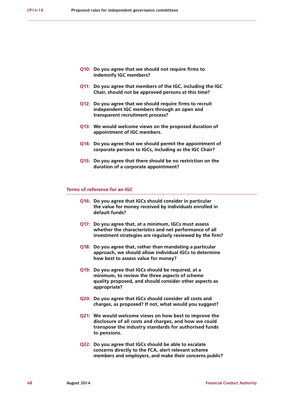- **Q10: Do you agree that we should not require firms to indemnify IGC members?**
- **Q11: Do you agree that members of the IGC, including the IGC Chair, should not be approved persons at this time?**
- **Q12: Do you agree that we should require firms to recruit independent IGC members through an open and transparent recruitment process?**
- **Q13: We would welcome views on the proposed duration of appointment of IGC members.**
- **Q14: Do you agree that we should permit the appointment of corporate persons to IGCs, including as the IGC Chair?**
- **Q15: Do you agree that there should be no restriction on the duration of a corporate appointment?**

#### **Terms of reference for an IGC**

- **Q16: Do you agree that IGCs should consider in particular the value for money received by individuals enrolled in default funds?**
- **Q17: Do you agree that, at a minimum, IGCs must assess whether the characteristics and net performance of all investment strategies are regularly reviewed by the firm?**
- **Q18: Do you agree that, rather than mandating a particular approach, we should allow individual IGCs to determine how best to assess value for money?**
- **Q19: Do you agree that IGCs should be required, at a minimum, to review the three aspects of scheme quality proposed, and should consider other aspects as appropriate?**
- **Q20: Do you agree that IGCs should consider all costs and charges, as proposed? If not, what would you suggest?**
- **Q21: We would welcome views on how best to improve the disclosure of all costs and charges, and how we could transpose the industry standards for authorised funds to pensions.**
- **Q22: Do you agree that IGCs should be able to escalate concerns directly to the FCA, alert relevant scheme members and employers, and make their concerns public?**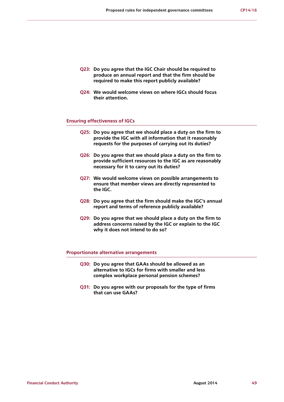- **Q23: Do you agree that the IGC Chair should be required to produce an annual report and that the firm should be required to make this report publicly available?**
- **Q24: We would welcome views on where IGCs should focus their attention.**

#### **Ensuring effectiveness of IGCs**

- **Q25: Do you agree that we should place a duty on the firm to provide the IGC with all information that it reasonably requests for the purposes of carrying out its duties?**
- **Q26: Do you agree that we should place a duty on the firm to provide sufficient resources to the IGC as are reasonably necessary for it to carry out its duties?**
- **Q27: We would welcome views on possible arrangements to ensure that member views are directly represented to the IGC.**
- **Q28: Do you agree that the firm should make the IGC's annual report and terms of reference publicly available?**
- **Q29: Do you agree that we should place a duty on the firm to address concerns raised by the IGC or explain to the IGC why it does not intend to do so?**

#### **Proportionate alternative arrangements**

- **Q30: Do you agree that GAAs should be allowed as an alternative to IGCs for firms with smaller and less complex workplace personal pension schemes?**
- **Q31: Do you agree with our proposals for the type of firms that can use GAAs?**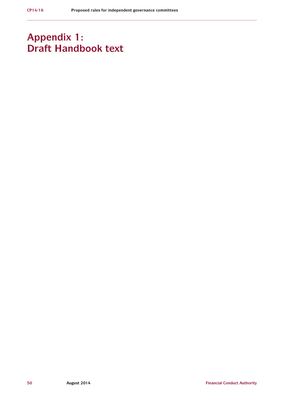## **Appendix 1: Draft Handbook text**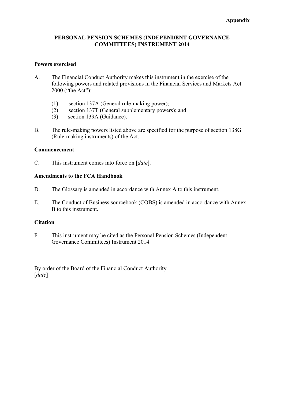## **PERSONAL PENSION SCHEMES (INDEPENDENT GOVERNANCE COMMITTEES) INSTRUMENT 2014**

## **Powers exercised**

- A. The Financial Conduct Authority makes this instrument in the exercise of the following powers and related provisions in the Financial Services and Markets Act 2000 ("the Act"):
	- (1) section 137A (General rule-making power);
	- (2) section 137T (General supplementary powers); and
	- (3) section 139A (Guidance).
- B. The rule-making powers listed above are specified for the purpose of section 138G (Rule-making instruments) of the Act.

## **Commencement**

C. This instrument comes into force on [*date*].

## **Amendments to the FCA Handbook**

- D. The Glossary is amended in accordance with Annex A to this instrument.
- E. The Conduct of Business sourcebook (COBS) is amended in accordance with Annex B to this instrument.

## **Citation**

F. This instrument may be cited as the Personal Pension Schemes (Independent Governance Committees) Instrument 2014.

By order of the Board of the Financial Conduct Authority [*date*]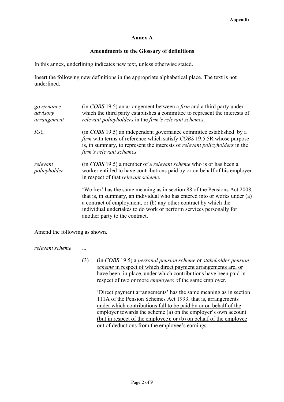## **Annex A**

## **Amendments to the Glossary of definitions**

In this annex, underlining indicates new text, unless otherwise stated.

Insert the following new definitions in the appropriate alphabetical place. The text is not underlined.

| governance<br>advisory<br>arrangement | (in COBS 19.5) an arrangement between a <i>firm</i> and a third party under<br>which the third party establishes a committee to represent the interests of<br>relevant policyholders in the firm's relevant schemes.                                                                                                                |
|---------------------------------------|-------------------------------------------------------------------------------------------------------------------------------------------------------------------------------------------------------------------------------------------------------------------------------------------------------------------------------------|
| <b>IGC</b>                            | (in COBS 19.5) an independent governance committee established by a<br><i>firm</i> with terms of reference which satisfy COBS 19.5.5R whose purpose<br>is, in summary, to represent the interests of <i>relevant policyholders</i> in the<br>firm's relevant schemes.                                                               |
| relevant<br>policyholder              | (in COBS 19.5) a member of a <i>relevant scheme</i> who is or has been a<br>worker entitled to have contributions paid by or on behalf of his employer<br>in respect of that <i>relevant</i> scheme.                                                                                                                                |
|                                       | 'Worker' has the same meaning as in section 88 of the Pensions Act 2008,<br>that is, in summary, an individual who has entered into or works under (a)<br>a contract of employment, or (b) any other contract by which the<br>individual undertakes to do work or perform services personally for<br>another party to the contract. |

Amend the following as shown.

*relevant scheme* ...

(3) (in *COBS* 19.5) a *personal pension scheme* or *stakeholder pension scheme* in respect of which direct payment arrangements are, or have been, in place, under which contributions have been paid in respect of two or more *employees o*f the same employer.

'Direct payment arrangements' has the same meaning as in section 111A of the Pension Schemes Act 1993, that is, arrangements under which contributions fall to be paid by or on behalf of the employer towards the scheme (a) on the employer's own account (but in respect of the employee); or (b) on behalf of the employee out of deductions from the employee's earnings.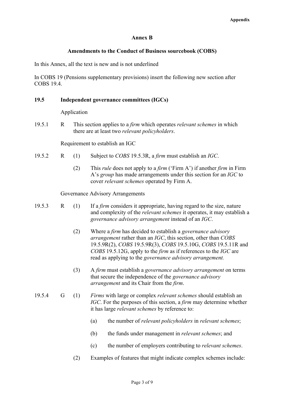## **Annex B**

## **Amendments to the Conduct of Business sourcebook (COBS)**

In this Annex, all the text is new and is not underlined

In COBS 19 (Pensions supplementary provisions) insert the following new section after COBS 19.4

## **19.5 Independent governance committees (IGCs)**

Application

19.5.1 R This section applies to a *firm* which operates *relevant schemes* in which there are at least two *relevant policyholders*.

Requirement to establish an IGC

- 19.5.2 R (1) Subject to *COBS* 19.5.3R, a *firm* must establish an *IGC*.
	- (2) This *rule* does not apply to a *firm* ('Firm A') if another *firm* in Firm A's *group* has made arrangements under this section for an *IGC* to cover *relevant schemes* operated by Firm A.

Governance Advisory Arrangements

| 19.5.3 | $\mathbb{R}$ | (1) | If a <i>firm</i> considers it appropriate, having regard to the size, nature  |
|--------|--------------|-----|-------------------------------------------------------------------------------|
|        |              |     | and complexity of the <i>relevant schemes</i> it operates, it may establish a |
|        |              |     | governance advisory arrangement instead of an IGC.                            |

- (2) Where a *firm* has decided to establish a *governance advisory arrangement* rather than an *IGC*, this section, other than *COBS*  19.5.9R(2), *COBS* 19.5.9R(3), *COBS* 19.5.10G, *COBS* 19.5.11R and *COBS* 19.5.12G, apply to the *firm* as if references to the *IGC* are read as applying to the *governance advisory arrangement.*
- (3) A *firm* must establish a *governance advisory arrangement* on terms that secure the independence of the *governance advisory arrangement* and its Chair from the *firm*.

## 19.5.4 G (1) *Firms* with large or complex *relevant schemes* should establish an *IGC*. For the purposes of this section, a *firm* may determine whether it has large *relevant schemes* by reference to:

- (a) the number of *relevant policyholders* in *relevant schemes*;
- (b) the funds under management in *relevant schemes*; and
- (c) the number of employers contributing to *relevant schemes*.
- (2) Examples of features that might indicate complex schemes include: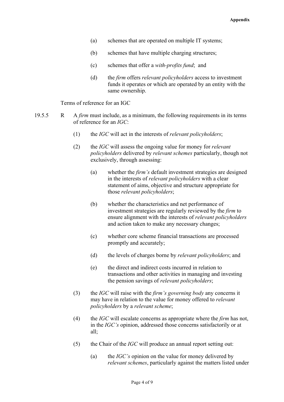- (a) schemes that are operated on multiple IT systems;
- (b) schemes that have multiple charging structures;
- (c) schemes that offer a *with-profits fund*; and
- (d) the *firm* offers *relevant policyholders* access to investment funds it operates or which are operated by an entity with the same ownership.

Terms of reference for an IGC

- 19.5.5 R A *firm* must include, as a minimum, the following requirements in its terms of reference for an *IGC*:
	- (1) the *IGC* will act in the interests of *relevant policyholders*;
	- (2) the *IGC* will assess the ongoing value for money for *relevant policyholders* delivered by *relevant schemes* particularly, though not exclusively, through assessing:
		- (a) whether the *firm's* default investment strategies are designed in the interests of *relevant policyholders* with a clear statement of aims, objective and structure appropriate for those *relevant policyholders*;
		- (b) whether the characteristics and net performance of investment strategies are regularly reviewed by the *firm* to ensure alignment with the interests of *relevant policyholders* and action taken to make any necessary changes;
		- (c) whether core scheme financial transactions are processed promptly and accurately;
		- (d) the levels of charges borne by *relevant policyholders*; and
		- (e) the direct and indirect costs incurred in relation to transactions and other activities in managing and investing the pension savings of *relevant policyholders*;
	- (3) the *IGC* will raise with the *firm's governing body* any concerns it may have in relation to the value for money offered to *relevant policyholders* by a *relevant scheme*;
	- (4) the *IGC* will escalate concerns as appropriate where the *firm* has not, in the *IGC's* opinion, addressed those concerns satisfactorily or at all;
	- (5) the Chair of the *IGC* will produce an annual report setting out:
		- (a) the *IGC's* opinion on the value for money delivered by *relevant schemes*, particularly against the matters listed under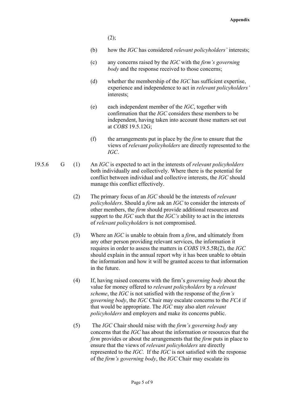$(2)$ ;

- (b) how the *IGC* has considered *relevant policyholders'* interests;
- (c) any concerns raised by the *IGC* with the *firm's governing body* and the response received to those concerns;
- (d) whether the membership of the *IGC* has sufficient expertise, experience and independence to act in *relevant policyholders'* interests;
- (e) each independent member of the *IGC*, together with confirmation that the *IGC* considers these members to be independent, having taken into account those matters set out at *COBS* 19.5.12G;
- (f) the arrangements put in place by the *firm* to ensure that the views of *relevant policyholders* are directly represented to the *IGC*.
- 19.5.6 G (1) An *IGC* is expected to act in the interests of *relevant policyholders* both individually and collectively. Where there is the potential for conflict between individual and collective interests, the *IGC* should manage this conflict effectively.
	- (2) The primary focus of an *IGC* should be the interests of *relevant policyholders*. Should a *firm* ask an *IGC* to consider the interests of other members, the *firm* should provide additional resources and support to the *IGC* such that the *IGC's* ability to act in the interests of *relevant policyholders* is not compromised.
	- (3) Where an *IGC* is unable to obtain from a *firm*, and ultimately from any other person providing relevant services, the information it requires in order to assess the matters in *COBS* 19.5.5R(2), the *IGC* should explain in the annual report why it has been unable to obtain the information and how it will be granted access to that information in the future.
	- (4) If, having raised concerns with the firm's *governing body* about the value for money offered to *relevant policyholders* by a *relevant scheme*, the *IGC* is not satisfied with the response of the *firm's governing body*, the *IGC* Chair may escalate concerns to the *FCA* if that would be appropriate. The *IGC* may also alert *relevant policyholders* and employers and make its concerns public.
	- (5) The *IGC* Chair should raise with the *firm's governing body* any concerns that the *IGC* has about the information or resources that the *firm* provides or about the arrangements that the *firm* puts in place to ensure that the views of *relevant policyholders* are directly represented to the *IGC*. If the *IGC* is not satisfied with the response of the *firm's governing body*, the *IGC* Chair may escalate its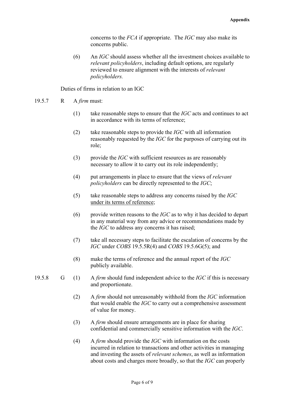concerns to the *FCA* if appropriate. The *IGC* may also make its concerns public.

(6) An *IGC* should assess whether all the investment choices available to *relevant policyholders*, including default options, are regularly reviewed to ensure alignment with the interests of *relevant policyholders.*

Duties of firms in relation to an IGC

- 19.5.7 R A *firm* must:
	- (1) take reasonable steps to ensure that the *IGC* acts and continues to act in accordance with its terms of reference;
	- (2) take reasonable steps to provide the *IGC* with all information reasonably requested by the *IGC* for the purposes of carrying out its role;
	- (3) provide the *IGC* with sufficient resources as are reasonably necessary to allow it to carry out its role independently;
	- (4) put arrangements in place to ensure that the views of *relevant policyholders* can be directly represented to the *IGC*;
	- (5) take reasonable steps to address any concerns raised by the *IGC* under its terms of reference;
	- (6) provide written reasons to the *IGC* as to why it has decided to depart in any material way from any advice or recommendations made by the *IGC* to address any concerns it has raised;
	- (7) take all necessary steps to facilitate the escalation of concerns by the *IGC* under *COBS* 19.5.5R(4) and *COBS* 19.5.6G(5); and
	- (8) make the terms of reference and the annual report of the *IGC* publicly available.
- 19.5.8 G (1) A *firm* should fund independent advice to the *IGC* if this is necessary and proportionate.
	- (2) A *firm* should not unreasonably withhold from the *IGC* information that would enable the *IGC* to carry out a comprehensive assessment of value for money.
	- (3) A *firm* should ensure arrangements are in place for sharing confidential and commercially sensitive information with the *IGC*.
	- (4) A *firm* should provide the *IGC* with information on the costs incurred in relation to transactions and other activities in managing and investing the assets of *relevant schemes*, as well as information about costs and charges more broadly, so that the *IGC* can properly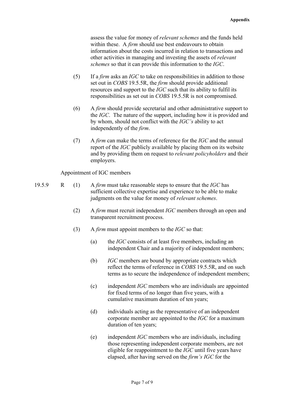assess the value for money of *relevant schemes* and the funds held within these. A *firm* should use best endeavours to obtain information about the costs incurred in relation to transactions and other activities in managing and investing the assets of *relevant schemes* so that it can provide this information to the *IGC*.

- (5) If a *firm* asks an *IGC* to take on responsibilities in addition to those set out in *COBS* 19.5.5R, the *firm* should provide additional resources and support to the *IGC* such that its ability to fulfil its responsibilities as set out in *COBS* 19.5.5R is not compromised.
- (6) A *firm* should provide secretarial and other administrative support to the *IGC*. The nature of the support, including how it is provided and by whom, should not conflict with the *IGC's* ability to act independently of the *firm*.
- (7) A *firm* can make the terms of reference for the *IGC* and the annual report of the *IGC* publicly available by placing them on its website and by providing them on request to *relevant policyholders* and their employers.

Appointment of IGC members

- 19.5.9 R (1) A *firm* must take reasonable steps to ensure that the *IGC* has sufficient collective expertise and experience to be able to make judgments on the value for money of *relevant schemes*.
	- (2) A *firm* must recruit independent *IGC* members through an open and transparent recruitment process.
	- (3) A *firm* must appoint members to the *IGC* so that:
		- (a) the *IGC* consists of at least five members, including an independent Chair and a majority of independent members;
		- (b) *IGC* members are bound by appropriate contracts which reflect the terms of reference in *COBS* 19.5.5R, and on such terms as to secure the independence of independent members;
		- (c) independent *IGC* members who are individuals are appointed for fixed terms of no longer than five years, with a cumulative maximum duration of ten years;
		- (d) individuals acting as the representative of an independent corporate member are appointed to the *IGC* for a maximum duration of ten years;
		- (e) independent *IGC* members who are individuals, including those representing independent corporate members, are not eligible for reappointment to the *IGC* until five years have elapsed, after having served on the *firm's IGC* for the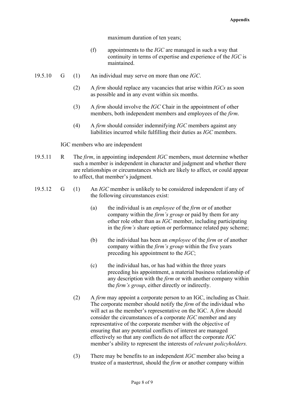maximum duration of ten years;

- (f) appointments to the *IGC* are managed in such a way that continuity in terms of expertise and experience of the *IGC* is maintained.
- 19.5.10 G (1) An individual may serve on more than one *IGC*.
	- (2) A *firm* should replace any vacancies that arise within *IGCs* as soon as possible and in any event within six months.
	- (3) A *firm* should involve the *IGC* Chair in the appointment of other members, both independent members and employees of the *firm*.
	- (4) A *firm* should consider indemnifying *IGC* members against any liabilities incurred while fulfilling their duties as *IGC* members.

IGC members who are independent

- 19.5.11 R The *firm*, in appointing independent *IGC* members, must determine whether such a member is independent in character and judgment and whether there are relationships or circumstances which are likely to affect, or could appear to affect, that member's judgment.
- 19.5.12 G (1) An *IGC* member is unlikely to be considered independent if any of the following circumstances exist:
	- (a) the individual is an *employee* of the *firm* or of another company within the *firm's group* or paid by them for any other role other than as *IGC* member, including participating in the *firm's* share option or performance related pay scheme;
	- (b) the individual has been an *employee* of the *firm* or of another company within the *firm's group* within the five years preceding his appointment to the *IGC*;
	- (c) the individual has, or has had within the three years preceding his appointment, a material business relationship of any description with the *firm* or with another company within the *firm's group*, either directly or indirectly.
	- (2) A *firm* may appoint a corporate person to an IGC, including as Chair. The corporate member should notify the *firm* of the individual who will act as the member's representative on the IGC. A *firm* should consider the circumstances of a corporate *IGC* member and any representative of the corporate member with the objective of ensuring that any potential conflicts of interest are managed effectively so that any conflicts do not affect the corporate *IGC* member's ability to represent the interests of *relevant policyholders.*
	- (3) There may be benefits to an independent *IGC* member also being a trustee of a mastertrust, should the *firm* or another company within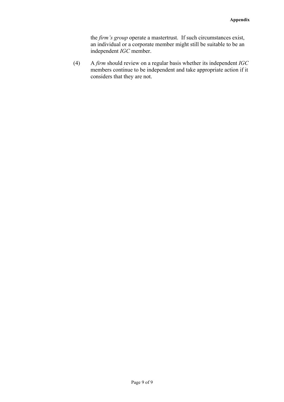the *firm's group* operate a mastertrust. If such circumstances exist, an individual or a corporate member might still be suitable to be an independent *IGC* member.

(4) A *firm* should review on a regular basis whether its independent *IGC* members continue to be independent and take appropriate action if it considers that they are not.